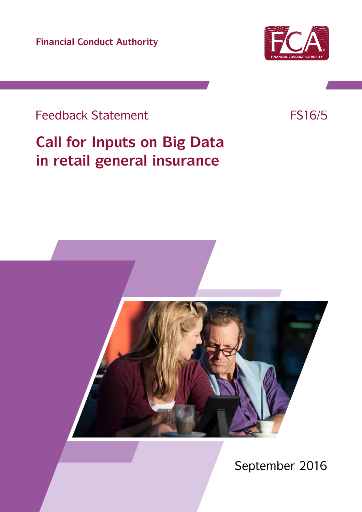**Financial Conduct Authority**



## Feedback Statement FS16/5

# **Call for Inputs on Big Data in retail general insurance**



September 2016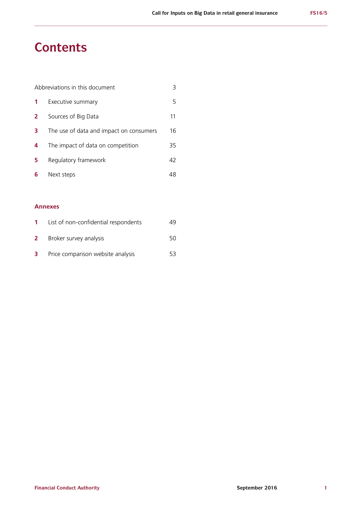## **Contents**

| Abbreviations in this document |                                         |    |
|--------------------------------|-----------------------------------------|----|
|                                | Executive summary                       | 5  |
| $\mathbf{2}$                   | Sources of Big Data                     | 11 |
| 3                              | The use of data and impact on consumers | 16 |
| 4                              | The impact of data on competition       | 35 |
| 5                              | Regulatory framework                    | 42 |
| 6                              | Next steps                              |    |

## **Annexes**

|              | List of non-confidential respondents | 49. |
|--------------|--------------------------------------|-----|
| $\mathbf{2}$ | Broker survey analysis               | 50. |
| 3            | Price comparison website analysis    | 53. |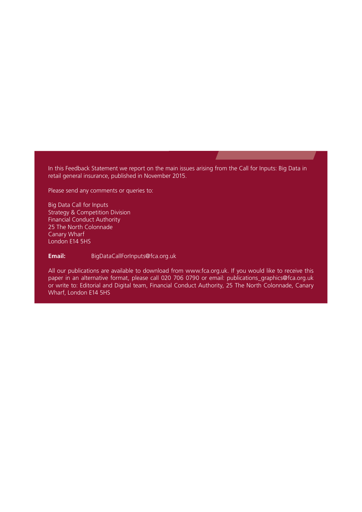In this Feedback Statement we report on the main issues arising from the Call for Inputs: Big Data in retail general insurance, published in November 2015.

Please send any comments or queries to:

Big Data Call for Inputs Strategy & Competition Division Financial Conduct Authority 25 The North Colonnade Canary Wharf London E14 5HS

**Email:** [BigDataCallForInputs@fca.org.uk](mailto:BigDataCallForInputs%40fca.org.uk?subject=)

All our publications are available to download from www.fca.org.uk. If you would like to receive this paper in an alternative format, please call 020 706 0790 or email: publications graphics@fca.org.uk or write to: Editorial and Digital team, Financial Conduct Authority, 25 The North Colonnade, Canary Wharf, London E14 5HS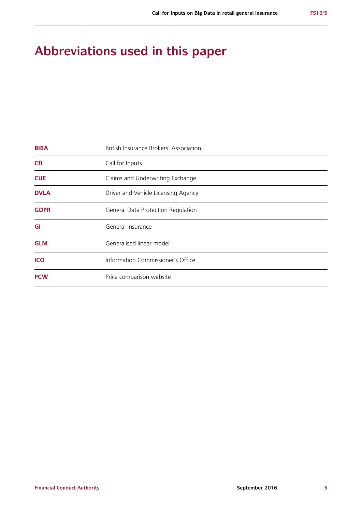## **Abbreviations used in this paper**

| <b>BIBA</b> | British Insurance Brokers' Association |  |  |
|-------------|----------------------------------------|--|--|
| <b>CfI</b>  | Call for Inputs                        |  |  |
| <b>CUE</b>  | Claims and Underwriting Exchange       |  |  |
| <b>DVLA</b> | Driver and Vehicle Licensing Agency    |  |  |
| <b>GDPR</b> | General Data Protection Regulation     |  |  |
| GI          | General insurance                      |  |  |
| <b>GLM</b>  | Generalised linear model               |  |  |
| ICO         | Information Commissioner's Office      |  |  |
| <b>PCW</b>  | Price comparison website               |  |  |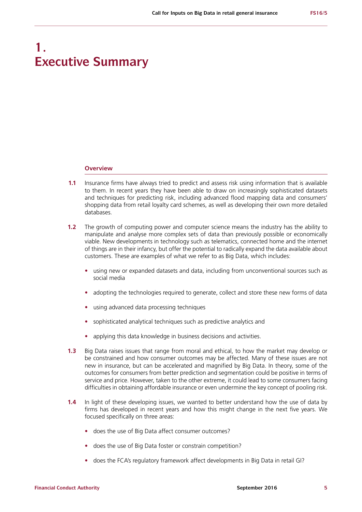## **1. Executive Summary**

#### **Overview**

- **1.1** Insurance firms have always tried to predict and assess risk using information that is available to them. In recent years they have been able to draw on increasingly sophisticated datasets and techniques for predicting risk, including advanced flood mapping data and consumers' shopping data from retail loyalty card schemes, as well as developing their own more detailed databases.
- **1.2** The growth of computing power and computer science means the industry has the ability to manipulate and analyse more complex sets of data than previously possible or economically viable. New developments in technology such as telematics, connected home and the internet of things are in their infancy, but offer the potential to radically expand the data available about customers. These are examples of what we refer to as Big Data, which includes:
	- **•** using new or expanded datasets and data, including from unconventional sources such as social media
	- **•** adopting the technologies required to generate, collect and store these new forms of data
	- **•** using advanced data processing techniques
	- **•** sophisticated analytical techniques such as predictive analytics and
	- **•** applying this data knowledge in business decisions and activities.
- **1.3** Big Data raises issues that range from moral and ethical, to how the market may develop or be constrained and how consumer outcomes may be affected. Many of these issues are not new in insurance, but can be accelerated and magnified by Big Data. In theory, some of the outcomes for consumers from better prediction and segmentation could be positive in terms of service and price. However, taken to the other extreme, it could lead to some consumers facing difficulties in obtaining affordable insurance or even undermine the key concept of pooling risk.
- **1.4** In light of these developing issues, we wanted to better understand how the use of data by firms has developed in recent years and how this might change in the next five years. We focused specifically on three areas:
	- **•** does the use of Big Data affect consumer outcomes?
	- **•** does the use of Big Data foster or constrain competition?
	- **•** does the FCA's regulatory framework affect developments in Big Data in retail GI?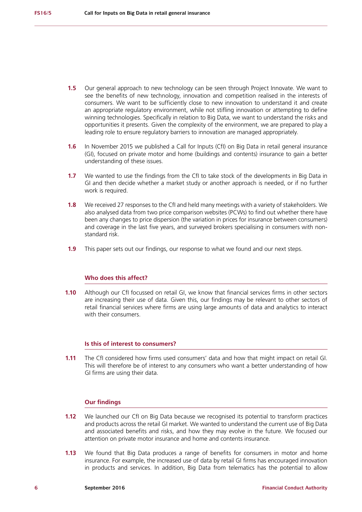- **1.5** Our general approach to new technology can be seen through Project Innovate. We want to see the benefits of new technology, innovation and competition realised in the interests of consumers. We want to be sufficiently close to new innovation to understand it and create an appropriate regulatory environment, while not stifling innovation or attempting to define winning technologies. Specifically in relation to Big Data, we want to understand the risks and opportunities it presents. Given the complexity of the environment, we are prepared to play a leading role to ensure regulatory barriers to innovation are managed appropriately.
- **1.6** In November 2015 we published a Call for Inputs (CfI) on Big Data in retail general insurance (GI), focused on private motor and home (buildings and contents) insurance to gain a better understanding of these issues.
- **1.7** We wanted to use the findings from the CfI to take stock of the developments in Big Data in GI and then decide whether a market study or another approach is needed, or if no further work is required.
- **1.8** We received 27 responses to the CfI and held many meetings with a variety of stakeholders. We also analysed data from two price comparison websites (PCWs) to find out whether there have been any changes to price dispersion (the variation in prices for insurance between consumers) and coverage in the last five years, and surveyed brokers specialising in consumers with nonstandard risk.
- **1.9** This paper sets out our findings, our response to what we found and our next steps.

## **Who does this affect?**

**1.10** Although our CfI focussed on retail GI, we know that financial services firms in other sectors are increasing their use of data. Given this, our findings may be relevant to other sectors of retail financial services where firms are using large amounts of data and analytics to interact with their consumers.

## **Is this of interest to consumers?**

**1.11** The CfI considered how firms used consumers' data and how that might impact on retail GI. This will therefore be of interest to any consumers who want a better understanding of how GI firms are using their data.

## **Our findings**

- **1.12** We launched our CfI on Big Data because we recognised its potential to transform practices and products across the retail GI market. We wanted to understand the current use of Big Data and associated benefits and risks, and how they may evolve in the future. We focused our attention on private motor insurance and home and contents insurance.
- **1.13** We found that Big Data produces a range of benefits for consumers in motor and home insurance. For example, the increased use of data by retail GI firms has encouraged innovation in products and services. In addition, Big Data from telematics has the potential to allow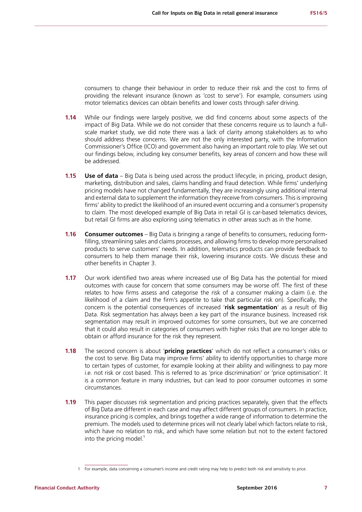consumers to change their behaviour in order to reduce their risk and the cost to firms of providing the relevant insurance (known as 'cost to serve'). For example, consumers using motor telematics devices can obtain benefits and lower costs through safer driving.

- **1.14** While our findings were largely positive, we did find concerns about some aspects of the impact of Big Data. While we do not consider that these concerns require us to launch a fullscale market study, we did note there was a lack of clarity among stakeholders as to who should address these concerns. We are not the only interested party, with the Information Commissioner's Office (ICO) and government also having an important role to play. We set out our findings below, including key consumer benefits, key areas of concern and how these will be addressed.
- **1.15 <b>Use of data** Big Data is being used across the product lifecycle, in pricing, product design, marketing, distribution and sales, claims handling and fraud detection. While firms' underlying pricing models have not changed fundamentally, they are increasingly using additional internal and external data to supplement the information they receive from consumers. This is improving firms' ability to predict the likelihood of an insured event occurring and a consumer's propensity to claim. The most developed example of Big Data in retail GI is car-based telematics devices, but retail GI firms are also exploring using telematics in other areas such as in the home.
- **1.16 Consumer outcomes** Big Data is bringing a range of benefits to consumers, reducing formfilling, streamlining sales and claims processes, and allowing firms to develop more personalised products to serve customers' needs. In addition, telematics products can provide feedback to consumers to help them manage their risk, lowering insurance costs. We discuss these and other benefits in Chapter 3.
- **1.17** Our work identified two areas where increased use of Big Data has the potential for mixed outcomes with cause for concern that some consumers may be worse off. The first of these relates to how firms assess and categorise the risk of a consumer making a claim (i.e. the likelihood of a claim and the firm's appetite to take that particular risk on). Specifically, the concern is the potential consequences of increased '**risk segmentation**' as a result of Big Data. Risk segmentation has always been a key part of the insurance business. Increased risk segmentation may result in improved outcomes for some consumers, but we are concerned that it could also result in categories of consumers with higher risks that are no longer able to obtain or afford insurance for the risk they represent.
- **1.18** The second concern is about '**pricing practices**' which do not reflect a consumer's risks or the cost to serve. Big Data may improve firms' ability to identify opportunities to charge more to certain types of customer, for example looking at their ability and willingness to pay more i.e. not risk or cost based. This is referred to as 'price discrimination' or 'price optimisation'. It is a common feature in many industries, but can lead to poor consumer outcomes in some circumstances.
- **1.19** This paper discusses risk segmentation and pricing practices separately, given that the effects of Big Data are different in each case and may affect different groups of consumers. In practice, insurance pricing is complex, and brings together a wide range of information to determine the premium. The models used to determine prices will not clearly label which factors relate to risk, which have no relation to risk, and which have some relation but not to the extent factored into the pricing model. $<sup>1</sup>$ </sup>

<sup>1</sup> For example, data concerning a consumer's income and credit rating may help to predict both risk and sensitivity to price.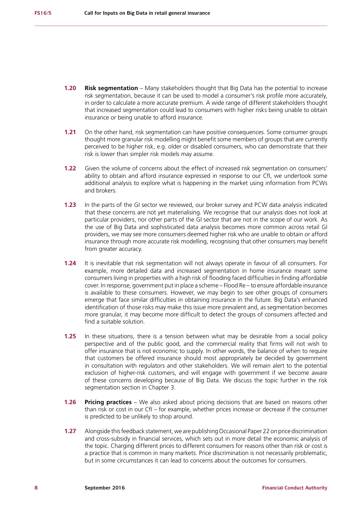- **1.20 Risk segmentation** Many stakeholders thought that Big Data has the potential to increase risk segmentation, because it can be used to model a consumer's risk profile more accurately, in order to calculate a more accurate premium. A wide range of different stakeholders thought that increased segmentation could lead to consumers with higher risks being unable to obtain insurance or being unable to afford insurance.
- **1.21** On the other hand, risk segmentation can have positive consequences. Some consumer groups thought more granular risk modelling might benefit some members of groups that are currently perceived to be higher risk, e.g. older or disabled consumers, who can demonstrate that their risk is lower than simpler risk models may assume.
- **1.22** Given the volume of concerns about the effect of increased risk segmentation on consumers' ability to obtain and afford insurance expressed in response to our CfI, we undertook some additional analysis to explore what is happening in the market using information from PCWs and brokers.
- **1.23** In the parts of the GI sector we reviewed, our broker survey and PCW data analysis indicated that these concerns are not yet materialising. We recognise that our analysis does not look at particular providers, nor other parts of the GI sector that are not in the scope of our work. As the use of Big Data and sophisticated data analysis becomes more common across retail GI providers, we may see more consumers deemed higher risk who are unable to obtain or afford insurance through more accurate risk modelling, recognising that other consumers may benefit from greater accuracy.
- **1.24** It is inevitable that risk segmentation will not always operate in favour of all consumers. For example, more detailed data and increased segmentation in home insurance meant some consumers living in properties with a high risk of flooding faced difficulties in finding affordable cover. In response, government put in place a scheme – Flood Re – to ensure affordable insurance is available to these consumers. However, we may begin to see other groups of consumers emerge that face similar difficulties in obtaining insurance in the future. Big Data's enhanced identification of those risks may make this issue more prevalent and, as segmentation becomes more granular, it may become more difficult to detect the groups of consumers affected and find a suitable solution.
- **1.25** In these situations, there is a tension between what may be desirable from a social policy perspective and of the public good, and the commercial reality that firms will not wish to offer insurance that is not economic to supply. In other words, the balance of when to require that customers be offered insurance should most appropriately be decided by government in consultation with regulators and other stakeholders. We will remain alert to the potential exclusion of higher-risk customers, and will engage with government if we become aware of these concerns developing because of Big Data. We discuss the topic further in the risk segmentation section in Chapter 3.
- **1.26 Pricing practices** We also asked about pricing decisions that are based on reasons other than risk or cost in our CfI – for example, whether prices increase or decrease if the consumer is predicted to be unlikely to shop around.
- **1.27** Alongside this feedback statement, we are publishing Occasional Paper 22 on price discrimination and cross-subsidy in financial services, which sets out in more detail the economic analysis of the topic. Charging different prices to different consumers for reasons other than risk or cost is a practice that is common in many markets. Price discrimination is not necessarily problematic, but in some circumstances it can lead to concerns about the outcomes for consumers.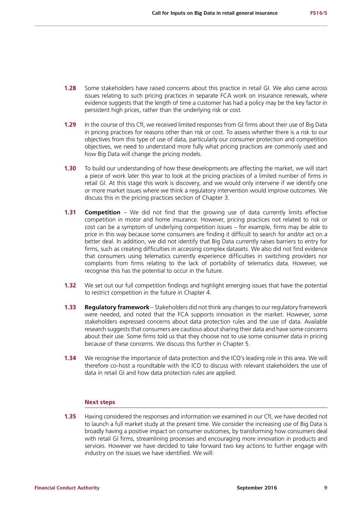- **1.28** Some stakeholders have raised concerns about this practice in retail GI. We also came across issues relating to such pricing practices in separate FCA work on insurance renewals, where evidence suggests that the length of time a customer has had a policy may be the key factor in persistent high prices, rather than the underlying risk or cost.
- **1.29** In the course of this CfI, we received limited responses from GI firms about their use of Big Data in pricing practices for reasons other than risk or cost. To assess whether there is a risk to our objectives from this type of use of data, particularly our consumer protection and competition objectives, we need to understand more fully what pricing practices are commonly used and how Big Data will change the pricing models.
- **1.30** To build our understanding of how these developments are affecting the market, we will start a piece of work later this year to look at the pricing practices of a limited number of firms in retail GI. At this stage this work is discovery, and we would only intervene if we identify one or more market issues where we think a regulatory intervention would improve outcomes. We discuss this in the pricing practices section of Chapter 3.
- **1.31 Competition** We did not find that the growing use of data currently limits effective competition in motor and home insurance. However, pricing practices not related to risk or cost can be a symptom of underlying competition issues – for example, firms may be able to price in this way because some consumers are finding it difficult to search for and/or act on a better deal. In addition, we did not identify that Big Data currently raises barriers to entry for firms, such as creating difficulties in accessing complex datasets. We also did not find evidence that consumers using telematics currently experience difficulties in switching providers nor complaints from firms relating to the lack of portability of telematics data. However, we recognise this has the potential to occur in the future.
- **1.32** We set out our full competition findings and highlight emerging issues that have the potential to restrict competition in the future in Chapter 4.
- **1.33 Regulatory framework** Stakeholders did not think any changes to our regulatory framework were needed, and noted that the FCA supports innovation in the market. However, some stakeholders expressed concerns about data protection rules and the use of data. Available research suggests that consumers are cautious about sharing their data and have some concerns about their use. Some firms told us that they choose not to use some consumer data in pricing because of these concerns. We discuss this further in Chapter 5.
- **1.34** We recognise the importance of data protection and the ICO's leading role in this area. We will therefore co-host a roundtable with the ICO to discuss with relevant stakeholders the use of data in retail GI and how data protection rules are applied.

## **Next steps**

**1.35** Having considered the responses and information we examined in our CfI, we have decided not to launch a full market study at the present time. We consider the increasing use of Big Data is broadly having a positive impact on consumer outcomes, by transforming how consumers deal with retail GI firms, streamlining processes and encouraging more innovation in products and services. However we have decided to take forward two key actions to further engage with industry on the issues we have identified. We will: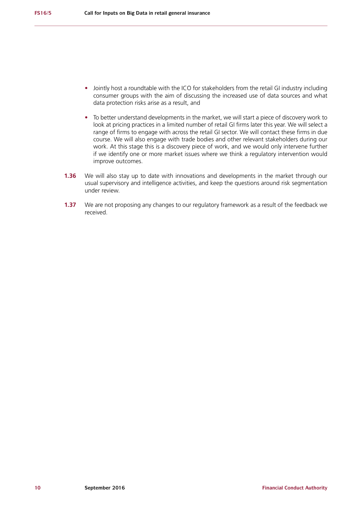- **•** Jointly host a roundtable with the ICO for stakeholders from the retail GI industry including consumer groups with the aim of discussing the increased use of data sources and what data protection risks arise as a result, and
- **•** To better understand developments in the market, we will start a piece of discovery work to look at pricing practices in a limited number of retail GI firms later this year. We will select a range of firms to engage with across the retail GI sector. We will contact these firms in due course. We will also engage with trade bodies and other relevant stakeholders during our work. At this stage this is a discovery piece of work, and we would only intervene further if we identify one or more market issues where we think a regulatory intervention would improve outcomes.
- **1.36** We will also stay up to date with innovations and developments in the market through our usual supervisory and intelligence activities, and keep the questions around risk segmentation under review.
- **1.37** We are not proposing any changes to our regulatory framework as a result of the feedback we received.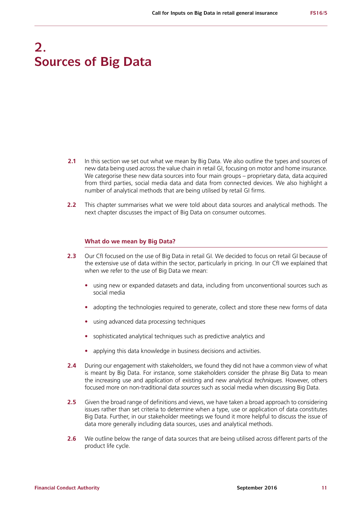## **2. Sources of Big Data**

- **2.1** In this section we set out what we mean by Big Data. We also outline the types and sources of new data being used across the value chain in retail GI, focusing on motor and home insurance. We categorise these new data sources into four main groups – proprietary data, data acquired from third parties, social media data and data from connected devices. We also highlight a number of analytical methods that are being utilised by retail GI firms.
- **2.2** This chapter summarises what we were told about data sources and analytical methods. The next chapter discusses the impact of Big Data on consumer outcomes.

#### **What do we mean by Big Data?**

- **2.3** Our CfI focused on the use of Big Data in retail GI. We decided to focus on retail GI because of the extensive use of data within the sector, particularly in pricing. In our CfI we explained that when we refer to the use of Big Data we mean:
	- **•** using new or expanded datasets and data, including from unconventional sources such as social media
	- **•** adopting the technologies required to generate, collect and store these new forms of data
	- **•** using advanced data processing techniques
	- **•** sophisticated analytical techniques such as predictive analytics and
	- **•** applying this data knowledge in business decisions and activities.
- **2.4** During our engagement with stakeholders, we found they did not have a common view of what is meant by Big Data. For instance, some stakeholders consider the phrase Big Data to mean the increasing use and application of existing and new analytical *techniques*. However, others focused more on non-traditional data *sources* such as social media when discussing Big Data.
- **2.5** Given the broad range of definitions and views, we have taken a broad approach to considering issues rather than set criteria to determine when a type, use or application of data constitutes Big Data. Further, in our stakeholder meetings we found it more helpful to discuss the issue of data more generally including data sources, uses and analytical methods.
- **2.6** We outline below the range of data sources that are being utilised across different parts of the product life cycle.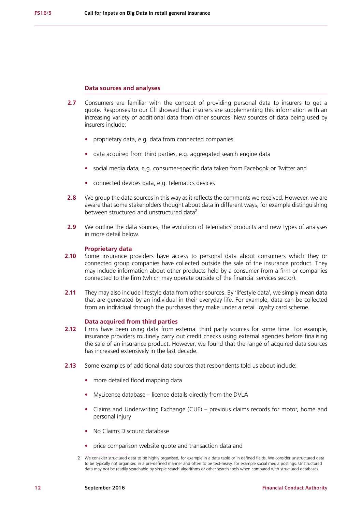#### **Data sources and analyses**

- **2.7** Consumers are familiar with the concept of providing personal data to insurers to get a quote. Responses to our CfI showed that insurers are supplementing this information with an increasing variety of additional data from other sources. New sources of data being used by insurers include:
	- **•** proprietary data, e.g. data from connected companies
	- **•** data acquired from third parties, e.g. aggregated search engine data
	- **•** social media data, e.g. consumer-specific data taken from Facebook or Twitter and
	- **•** connected devices data, e.g. telematics devices
- **2.8** We group the data sources in this way as it reflects the comments we received. However, we are aware that some stakeholders thought about data in different ways, for example distinguishing between structured and unstructured data<sup>2</sup>.
- **2.9** We outline the data sources, the evolution of telematics products and new types of analyses in more detail below.

#### **Proprietary data**

- **2.10** Some insurance providers have access to personal data about consumers which they or connected group companies have collected outside the sale of the insurance product. They may include information about other products held by a consumer from a firm or companies connected to the firm (which may operate outside of the financial services sector).
- **2.11** They may also include lifestyle data from other sources. By 'lifestyle data', we simply mean data that are generated by an individual in their everyday life. For example, data can be collected from an individual through the purchases they make under a retail loyalty card scheme.

#### **Data acquired from third parties**

- **2.12** Firms have been using data from external third party sources for some time. For example, insurance providers routinely carry out credit checks using external agencies before finalising the sale of an insurance product. However, we found that the range of acquired data sources has increased extensively in the last decade.
- **2.13** Some examples of additional data sources that respondents told us about include:
	- **•** more detailed flood mapping data
	- **•** MyLicence database licence details directly from the DVLA
	- **•** Claims and Underwriting Exchange (CUE) previous claims records for motor, home and personal injury
	- **•** No Claims Discount database
	- **•** price comparison website quote and transaction data and

<sup>2</sup> We consider structured data to be highly organised, for example in a data table or in defined fields. We consider unstructured data to be typically not organised in a pre-defined manner and often to be text-heavy, for example social media postings. Unstructured data may not be readily searchable by simple search algorithms or other search tools when compared with structured databases.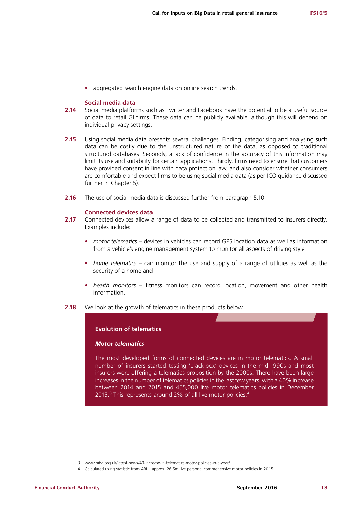**•** aggregated search engine data on online search trends.

## **Social media data**

- **2.14** Social media platforms such as Twitter and Facebook have the potential to be a useful source of data to retail GI firms. These data can be publicly available, although this will depend on individual privacy settings.
- **2.15** Using social media data presents several challenges. Finding, categorising and analysing such data can be costly due to the unstructured nature of the data, as opposed to traditional structured databases. Secondly, a lack of confidence in the accuracy of this information may limit its use and suitability for certain applications. Thirdly, firms need to ensure that customers have provided consent in line with data protection law, and also consider whether consumers are comfortable and expect firms to be using social media data (as per ICO guidance discussed further in Chapter 5).
- **2.16** The use of social media data is discussed further from paragraph 5.10.

### **Connected devices data**

- 2.17 Connected devices allow a range of data to be collected and transmitted to insurers directly. Examples include:
	- **•** *motor telematics* devices in vehicles can record GPS location data as well as information from a vehicle's engine management system to monitor all aspects of driving style
	- **•** *home telematics* can monitor the use and supply of a range of utilities as well as the security of a home and
	- **•** *health monitors* fitness monitors can record location, movement and other health information.
- **2.18** We look at the growth of telematics in these products below.

## **Evolution of telematics**

#### *Motor telematics*

The most developed forms of connected devices are in motor telematics. A small number of insurers started testing 'black-box' devices in the mid-1990s and most insurers were offering a telematics proposition by the 2000s. There have been large increases in the number of telematics policies in the last few years, with a 40% increase between 2014 and 2015 and 455,000 live motor telematics policies in December 2015.<sup>3</sup> This represents around 2% of all live motor policies.<sup>4</sup>

<sup>3</sup> [www.biba.org.uk/latest-news/40-increase-in-telematics-motor-policies-in-a-year/](http://www.biba.org.uk/latest-news/40-increase-in-telematics-motor-policies-in-a-year/)

<sup>4</sup> Calculated using statistic from ABI – approx. 26.5m live personal comprehensive motor policies in 2015.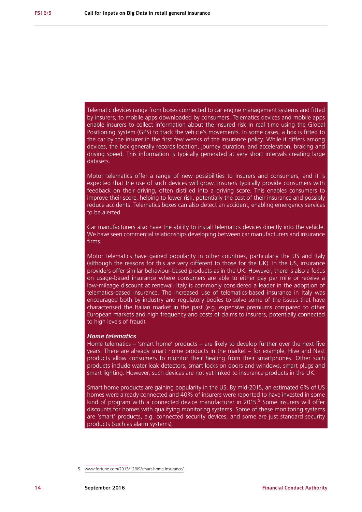Telematic devices range from boxes connected to car engine management systems and fitted by insurers, to mobile apps downloaded by consumers. Telematics devices and mobile apps enable insurers to collect information about the insured risk in real time using the Global Positioning System (GPS) to track the vehicle's movements. In some cases, a box is fitted to the car by the insurer in the first few weeks of the insurance policy. While it differs among devices, the box generally records location, journey duration, and acceleration, braking and driving speed. This information is typically generated at very short intervals creating large datasets.

Motor telematics offer a range of new possibilities to insurers and consumers, and it is expected that the use of such devices will grow. Insurers typically provide consumers with feedback on their driving, often distilled into a driving score. This enables consumers to improve their score, helping to lower risk, potentially the cost of their insurance and possibly reduce accidents. Telematics boxes can also detect an accident, enabling emergency services to be alerted.

Car manufacturers also have the ability to install telematics devices directly into the vehicle. We have seen commercial relationships developing between car manufacturers and insurance firms.

Motor telematics have gained popularity in other countries, particularly the US and Italy (although the reasons for this are very different to those for the UK). In the US, insurance providers offer similar behaviour-based products as in the UK. However, there is also a focus on usage-based insurance where consumers are able to either pay per mile or receive a low-mileage discount at renewal. Italy is commonly considered a leader in the adoption of telematics-based insurance. The increased use of telematics-based insurance in Italy was encouraged both by industry and regulatory bodies to solve some of the issues that have characterised the Italian market in the past (e.g. expensive premiums compared to other European markets and high frequency and costs of claims to insurers, potentially connected to high levels of fraud).

#### *Home telematics*

Home telematics – 'smart home' products – are likely to develop further over the next five years. There are already smart home products in the market – for example, Hive and Nest products allow consumers to monitor their heating from their smartphones. Other such products include water leak detectors, smart locks on doors and windows, smart plugs and smart lighting. However, such devices are not yet linked to insurance products in the UK.

Smart home products are gaining popularity in the US. By mid-2015, an estimated 6% of US homes were already connected and 40% of insurers were reported to have invested in some kind of program with a connected device manufacturer in 2015.<sup>5</sup> Some insurers will offer discounts for homes with qualifying monitoring systems. Some of these monitoring systems are 'smart' products, e.g. connected security devices, and some are just standard security products (such as alarm systems).

<sup>5</sup> [www.fortune.com/2015/12/09/smart-home-insurance/](http://www.fortune.com/2015/12/09/smart-home-insurance/)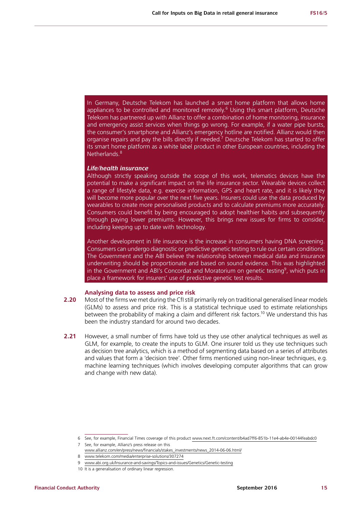In Germany, Deutsche Telekom has launched a smart home platform that allows home appliances to be controlled and monitored remotely.<sup>6</sup> Using this smart platform, Deutsche Telekom has partnered up with Allianz to offer a combination of home monitoring, insurance and emergency assist services when things go wrong. For example, if a water pipe bursts, the consumer's smartphone and Allianz's emergency hotline are notified. Allianz would then organise repairs and pay the bills directly if needed.<sup>7</sup> Deutsche Telekom has started to offer its smart home platform as a white label product in other European countries, including the Netherlands.<sup>8</sup>

### *Life/health insurance*

Although strictly speaking outside the scope of this work, telematics devices have the potential to make a significant impact on the life insurance sector. Wearable devices collect a range of lifestyle data, e.g. exercise information, GPS and heart rate, and it is likely they will become more popular over the next five years. Insurers could use the data produced by wearables to create more personalised products and to calculate premiums more accurately. Consumers could benefit by being encouraged to adopt healthier habits and subsequently through paying lower premiums. However, this brings new issues for firms to consider, including keeping up to date with technology.

Another development in life insurance is the increase in consumers having DNA screening. Consumers can undergo diagnostic or predictive genetic testing to rule out certain conditions. The Government and the ABI believe the relationship between medical data and insurance underwriting should be proportionate and based on sound evidence. This was highlighted in the Government and ABI's Concordat and Moratorium on genetic testing<sup>9</sup>, which puts in place a framework for insurers' use of predictive genetic test results.

## Analysing data to assess and price risk

- **2.20** Most of the firms we met during the CfI still primarily rely on traditional generalised linear models (GLMs) to assess and price risk. This is a statistical technique used to estimate relationships between the probability of making a claim and different risk factors.<sup>10</sup> We understand this has been the industry standard for around two decades.
- **2.21** However, a small number of firms have told us they use other analytical techniques as well as GLM, for example, to create the inputs to GLM. One insurer told us they use techniques such as decision tree analytics, which is a method of segmenting data based on a series of attributes and values that form a 'decision tree'. Other firms mentioned using non-linear techniques, e.g. machine learning techniques (which involves developing computer algorithms that can grow and change with new data).

<sup>6</sup> See, for example, Financial Times coverage of this product [www.next.ft.com/content/b4ad7ff6-851b-11e4-ab4e-00144feabdc0](http://www.next.ft.com/content/b4ad7ff6-851b-11e4-ab4e-00144feabdc0)

<sup>7</sup> See, for example, Allianz's press release on this

[www.allianz.com/en/press/news/financials/stakes\\_investments/news\\_2014-06-06.html/](http://www.allianz.com/en/press/news/financials/stakes_investments/news_2014-06-06.html/)

<sup>8</sup> [www.telekom.com/media/enterprise-solutions/307274](http://www.telekom.com/media/enterprise-solutions/307274)

<sup>9</sup> [www.abi.org.uk/Insurance-and-savings/Topics-and-issues/Genetics/Genetic-testing](https://www.abi.org.uk/Insurance-and-savings/Topics-and-issues/Genetics/Genetic-testing)

<sup>10</sup> It is a generalisation of ordinary linear regression.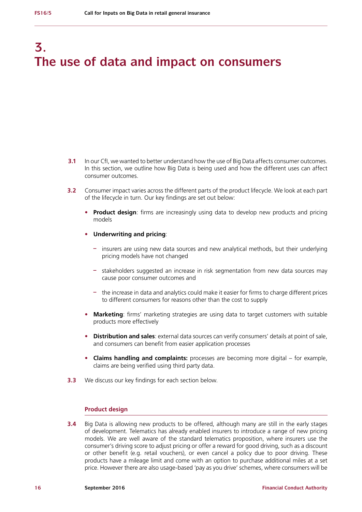## **3. The use of data and impact on consumers**

- **3.1** In our CfI, we wanted to better understand how the use of Big Data affects consumer outcomes. In this section, we outline how Big Data is being used and how the different uses can affect consumer outcomes.
- **3.2** Consumer impact varies across the different parts of the product lifecycle. We look at each part of the lifecycle in turn. Our key findings are set out below:
	- **• Product design**: firms are increasingly using data to develop new products and pricing models
	- **• Underwriting and pricing**:
		- **–** insurers are using new data sources and new analytical methods, but their underlying pricing models have not changed
		- **–** stakeholders suggested an increase in risk segmentation from new data sources may cause poor consumer outcomes and
		- **–** the increase in data and analytics could make it easier for firms to charge different prices to different consumers for reasons other than the cost to supply
	- **• Marketing**: firms' marketing strategies are using data to target customers with suitable products more effectively
	- **• Distribution and sales**: external data sources can verify consumers' details at point of sale, and consumers can benefit from easier application processes
	- **• Claims handling and complaints:** processes are becoming more digital for example, claims are being verified using third party data.
- **3.3** We discuss our key findings for each section below.

### **Product design**

**3.4** Big Data is allowing new products to be offered, although many are still in the early stages of development. Telematics has already enabled insurers to introduce a range of new pricing models. We are well aware of the standard telematics proposition, where insurers use the consumer's driving score to adjust pricing or offer a reward for good driving, such as a discount or other benefit (e.g. retail vouchers), or even cancel a policy due to poor driving. These products have a mileage limit and come with an option to purchase additional miles at a set price. However there are also usage-based 'pay as you drive' schemes, where consumers will be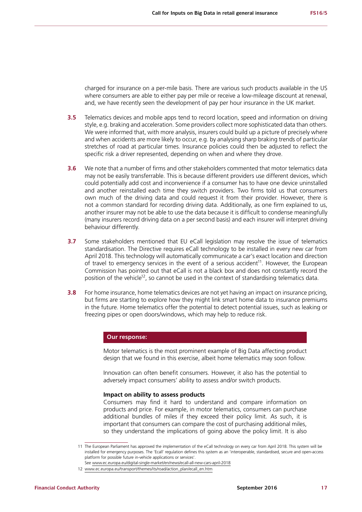charged for insurance on a per-mile basis. There are various such products available in the US where consumers are able to either pay per mile or receive a low-mileage discount at renewal, and, we have recently seen the development of pay per hour insurance in the UK market.

- **3.5** Telematics devices and mobile apps tend to record location, speed and information on driving style, e.g. braking and acceleration. Some providers collect more sophisticated data than others. We were informed that, with more analysis, insurers could build up a picture of precisely where and when accidents are more likely to occur, e.g. by analysing sharp braking trends of particular stretches of road at particular times. Insurance policies could then be adjusted to reflect the specific risk a driver represented, depending on when and where they drove.
- **3.6** We note that a number of firms and other stakeholders commented that motor telematics data may not be easily transferrable. This is because different providers use different devices, which could potentially add cost and inconvenience if a consumer has to have one device uninstalled and another reinstalled each time they switch providers. Two firms told us that consumers own much of the driving data and could request it from their provider. However, there is not a common standard for recording driving data. Additionally, as one firm explained to us, another insurer may not be able to use the data because it is difficult to condense meaningfully (many insurers record driving data on a per second basis) and each insurer will interpret driving behaviour differently.
- **3.7** Some stakeholders mentioned that EU eCall legislation may resolve the issue of telematics standardisation. The Directive requires eCall technology to be installed in every new car from April 2018. This technology will automatically communicate a car's exact location and direction of travel to emergency services in the event of a serious accident<sup>11</sup>. However, the European Commission has pointed out that eCall is not a black box and does not constantly record the position of the vehicle<sup>12</sup>, so cannot be used in the context of standardising telematics data.
- **3.8** For home insurance, home telematics devices are not yet having an impact on insurance pricing, but firms are starting to explore how they might link smart home data to insurance premiums in the future. Home telematics offer the potential to detect potential issues, such as leaking or freezing pipes or open doors/windows, which may help to reduce risk.

## **Our response:**

Motor telematics is the most prominent example of Big Data affecting product design that we found in this exercise, albeit home telematics may soon follow.

Innovation can often benefit consumers. However, it also has the potential to adversely impact consumers' ability to assess and/or switch products.

#### **Impact on ability to assess products**

Consumers may find it hard to understand and compare information on products and price. For example, in motor telematics, consumers can purchase additional bundles of miles if they exceed their policy limit. As such, it is important that consumers can compare the cost of purchasing additional miles, so they understand the implications of going above the policy limit. It is also

<sup>11</sup> The European Parliament has approved the implementation of the eCall technology on every car from April 2018. This system will be installed for emergency purposes. The 'Ecall' regulation defines this system as an 'interoperable, standardised, secure and open-access platform for possible future in-vehicle applications or services'.

See [www.ec.europa.eu/digital-single-market/en/news/ecall-all-new-cars-april-2018](http://www.ec.europa.eu/digital-single-market/en/news/ecall-all-new-cars-april-2018)

<sup>12</sup> [www.ec.europa.eu/transport/themes/its/road/action\\_plan/ecall\\_en.htm](http://www.ec.europa.eu/transport/themes/its/road/action_plan/ecall_en.htm)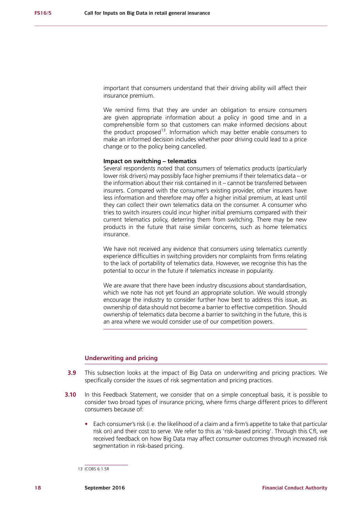important that consumers understand that their driving ability will affect their insurance premium.

We remind firms that they are under an obligation to ensure consumers are given appropriate information about a policy in good time and in a comprehensible form so that customers can make informed decisions about the product proposed<sup>13</sup>. Information which may better enable consumers to make an informed decision includes whether poor driving could lead to a price change or to the policy being cancelled.

## **Impact on switching – telematics**

Several respondents noted that consumers of telematics products (particularly lower risk drivers) may possibly face higher premiums if their telematics data – or the information about their risk contained in it – cannot be transferred between insurers. Compared with the consumer's existing provider, other insurers have less information and therefore may offer a higher initial premium, at least until they can collect their own telematics data on the consumer. A consumer who tries to switch insurers could incur higher initial premiums compared with their current telematics policy, deterring them from switching. There may be new products in the future that raise similar concerns, such as home telematics insurance.

We have not received any evidence that consumers using telematics currently experience difficulties in switching providers nor complaints from firms relating to the lack of portability of telematics data. However, we recognise this has the potential to occur in the future if telematics increase in popularity.

We are aware that there have been industry discussions about standardisation, which we note has not yet found an appropriate solution. We would strongly encourage the industry to consider further how best to address this issue, as ownership of data should not become a barrier to effective competition. Should ownership of telematics data become a barrier to switching in the future, this is an area where we would consider use of our competition powers.

## **Underwriting and pricing**

- **3.9** This subsection looks at the impact of Big Data on underwriting and pricing practices. We specifically consider the issues of risk segmentation and pricing practices.
- **3.10** In this Feedback Statement, we consider that on a simple conceptual basis, it is possible to consider two broad types of insurance pricing, where firms charge different prices to different consumers because of:
	- **•** Each consumer's risk (i.e. the likelihood of a claim and a firm's appetite to take that particular risk on) and their cost to serve. We refer to this as 'risk-based pricing'. Through this CfI, we received feedback on how Big Data may affect consumer outcomes through increased risk segmentation in risk-based pricing.

<sup>13</sup> ICOBS 6.1.5R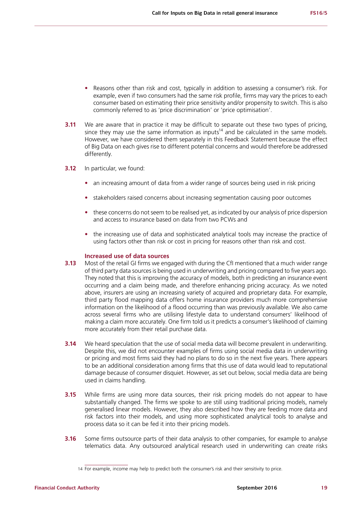- **•** Reasons other than risk and cost, typically in addition to assessing a consumer's risk. For example, even if two consumers had the same risk profile, firms may vary the prices to each consumer based on estimating their price sensitivity and/or propensity to switch. This is also commonly referred to as 'price discrimination' or 'price optimisation'.
- **3.11** We are aware that in practice it may be difficult to separate out these two types of pricing. since they may use the same information as inputs<sup>14</sup> and be calculated in the same models. However, we have considered them separately in this Feedback Statement because the effect of Big Data on each gives rise to different potential concerns and would therefore be addressed differently.
- **3.12** In particular, we found:
	- **•** an increasing amount of data from a wider range of sources being used in risk pricing
	- **•** stakeholders raised concerns about increasing segmentation causing poor outcomes
	- these concerns do not seem to be realised yet, as indicated by our analysis of price dispersion and access to insurance based on data from two PCWs and
	- **•** the increasing use of data and sophisticated analytical tools may increase the practice of using factors other than risk or cost in pricing for reasons other than risk and cost.

### **Increased use of data sources**

- **3.13** Most of the retail GI firms we engaged with during the CfI mentioned that a much wider range of third party data sources is being used in underwriting and pricing compared to five years ago. They noted that this is improving the accuracy of models, both in predicting an insurance event occurring and a claim being made, and therefore enhancing pricing accuracy. As we noted above, insurers are using an increasing variety of acquired and proprietary data. For example, third party flood mapping data offers home insurance providers much more comprehensive information on the likelihood of a flood occurring than was previously available. We also came across several firms who are utilising lifestyle data to understand consumers' likelihood of making a claim more accurately. One firm told us it predicts a consumer's likelihood of claiming more accurately from their retail purchase data.
- **3.14** We heard speculation that the use of social media data will become prevalent in underwriting. Despite this, we did not encounter examples of firms using social media data in underwriting or pricing and most firms said they had no plans to do so in the next five years. There appears to be an additional consideration among firms that this use of data would lead to reputational damage because of consumer disquiet. However, as set out below, social media data are being used in claims handling.
- **3.15** While firms are using more data sources, their risk pricing models do not appear to have substantially changed. The firms we spoke to are still using traditional pricing models, namely generalised linear models. However, they also described how they are feeding more data and risk factors into their models, and using more sophisticated analytical tools to analyse and process data so it can be fed it into their pricing models.
- **3.16** Some firms outsource parts of their data analysis to other companies, for example to analyse telematics data. Any outsourced analytical research used in underwriting can create risks

<sup>14</sup> For example, income may help to predict both the consumer's risk and their sensitivity to price.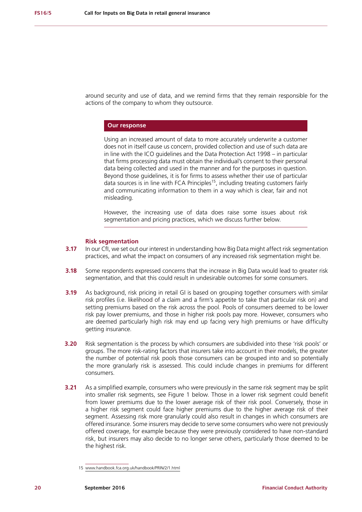around security and use of data, and we remind firms that they remain responsible for the actions of the company to whom they outsource.

## **Our response**

Using an increased amount of data to more accurately underwrite a customer does not in itself cause us concern, provided collection and use of such data are in line with the ICO guidelines and the Data Protection Act 1998 – in particular that firms processing data must obtain the individual's consent to their personal data being collected and used in the manner and for the purposes in question. Beyond those guidelines, it is for firms to assess whether their use of particular data sources is in line with FCA Principles<sup>15</sup>, including treating customers fairly and communicating information to them in a way which is clear, fair and not misleading.

However, the increasing use of data does raise some issues about risk segmentation and pricing practices, which we discuss further below.

#### **Risk segmentation**

- **3.17** In our CfI, we set out our interest in understanding how Big Data might affect risk segmentation practices, and what the impact on consumers of any increased risk segmentation might be.
- **3.18** Some respondents expressed concerns that the increase in Big Data would lead to greater risk segmentation, and that this could result in undesirable outcomes for some consumers.
- **3.19** As background, risk pricing in retail GI is based on grouping together consumers with similar risk profiles (i.e. likelihood of a claim and a firm's appetite to take that particular risk on) and setting premiums based on the risk across the pool. Pools of consumers deemed to be lower risk pay lower premiums, and those in higher risk pools pay more. However, consumers who are deemed particularly high risk may end up facing very high premiums or have difficulty getting insurance.
- **3.20** Risk segmentation is the process by which consumers are subdivided into these 'risk pools' or groups. The more risk-rating factors that insurers take into account in their models, the greater the number of potential risk pools those consumers can be grouped into and so potentially the more granularly risk is assessed. This could include changes in premiums for different consumers.
- **3.21** As a simplified example, consumers who were previously in the same risk segment may be split into smaller risk segments, see Figure 1 below. Those in a lower risk segment could benefit from lower premiums due to the lower average risk of their risk pool. Conversely, those in a higher risk segment could face higher premiums due to the higher average risk of their segment. Assessing risk more granularly could also result in changes in which consumers are offered insurance. Some insurers may decide to serve some consumers who were not previously offered coverage, for example because they were previously considered to have non-standard risk, but insurers may also decide to no longer serve others, particularly those deemed to be the highest risk.

<sup>15</sup> [www.handbook.fca.org.uk/handbook/PRIN/2/1.html](http://www.handbook.fca.org.uk/handbook/PRIN/2/1.html)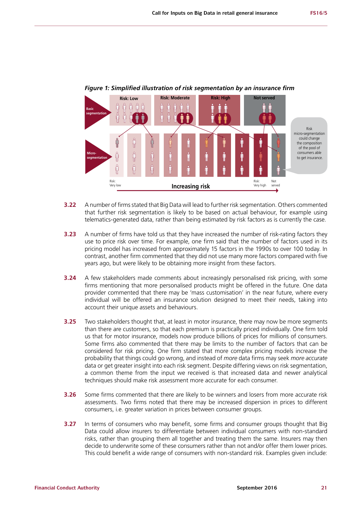

## *Figure 1: Simplified illustration of risk segmentation by an insurance firm*

- **3.22** A number of firms stated that Big Data will lead to further risk segmentation. Others commented that further risk segmentation is likely to be based on actual behaviour, for example using telematics-generated data, rather than being estimated by risk factors as is currently the case.
- **3.23** A number of firms have told us that they have increased the number of risk-rating factors they use to price risk over time. For example, one firm said that the number of factors used in its pricing model has increased from approximately 15 factors in the 1990s to over 100 today. In contrast, another firm commented that they did not use many more factors compared with five years ago, but were likely to be obtaining more insight from these factors.
- **3.24** A few stakeholders made comments about increasingly personalised risk pricing, with some firms mentioning that more personalised products might be offered in the future. One data provider commented that there may be 'mass customisation' in the near future, where every individual will be offered an insurance solution designed to meet their needs, taking into account their unique assets and behaviours.
- **3.25** Two stakeholders thought that, at least in motor insurance, there may now be more segments than there are customers, so that each premium is practically priced individually. One firm told us that for motor insurance, models now produce billions of prices for millions of consumers. Some firms also commented that there may be limits to the number of factors that can be considered for risk pricing. One firm stated that more complex pricing models increase the probability that things could go wrong, and instead of *more* data firms may seek *more accurate* data or get greater insight into each risk segment. Despite differing views on risk segmentation, a common theme from the input we received is that increased data and newer analytical techniques should make risk assessment more accurate for each consumer.
- **3.26** Some firms commented that there are likely to be winners and losers from more accurate risk assessments. Two firms noted that there may be increased dispersion in prices to different consumers, i.e. greater variation in prices between consumer groups.
- **3.27** In terms of consumers who may benefit, some firms and consumer groups thought that Big Data could allow insurers to differentiate between individual consumers with non-standard risks, rather than grouping them all together and treating them the same. Insurers may then decide to underwrite some of these consumers rather than not and/or offer them lower prices. This could benefit a wide range of consumers with non-standard risk. Examples given include: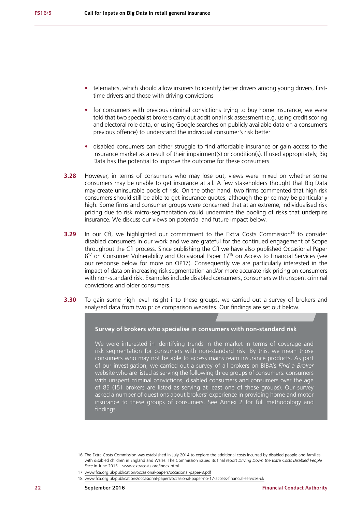- **•** telematics, which should allow insurers to identify better drivers among young drivers, firsttime drivers and those with driving convictions
- **•** for consumers with previous criminal convictions trying to buy home insurance, we were told that two specialist brokers carry out additional risk assessment (e.g. using credit scoring and electoral role data, or using Google searches on publicly available data on a consumer's previous offence) to understand the individual consumer's risk better
- **•** disabled consumers can either struggle to find affordable insurance or gain access to the insurance market as a result of their impairment(s) or condition(s). If used appropriately, Big Data has the potential to improve the outcome for these consumers
- **3.28** However, in terms of consumers who may lose out, views were mixed on whether some consumers may be unable to get insurance at all. A few stakeholders thought that Big Data may create uninsurable pools of risk. On the other hand, two firms commented that high risk consumers should still be able to get insurance quotes, although the price may be particularly high. Some firms and consumer groups were concerned that at an extreme, individualised risk pricing due to risk micro-segmentation could undermine the pooling of risks that underpins insurance. We discuss our views on potential and future impact below.
- **3.29** In our CfI, we highlighted our commitment to the Extra Costs Commission<sup>16</sup> to consider disabled consumers in our work and we are grateful for the continued engagement of Scope throughout the CfI process. Since publishing the CfI we have also published Occasional Paper 8<sup>17</sup> on Consumer Vulnerability and Occasional Paper 17<sup>18</sup> on Access to Financial Services (see our response below for more on OP17). Consequently we are particularly interested in the impact of data on increasing risk segmentation and/or more accurate risk pricing on consumers with non-standard risk. Examples include disabled consumers, consumers with unspent criminal convictions and older consumers.
- **3.30** To gain some high level insight into these groups, we carried out a survey of brokers and analysed data from two price comparison websites. Our findings are set out below.

## **Survey of brokers who specialise in consumers with non-standard risk**

We were interested in identifying trends in the market in terms of coverage and risk segmentation for consumers with non-standard risk. By this, we mean those consumers who may not be able to access mainstream insurance products. As part of our investigation, we carried out a survey of all brokers on BIBA's *Find a Broker* website who are listed as serving the following three groups of consumers: consumers with unspent criminal convictions, disabled consumers and consumers over the age of 85 (151 brokers are listed as serving at least one of these groups). Our survey asked a number of questions about brokers' experience in providing home and motor insurance to these groups of consumers. See Annex 2 for full methodology and findings.

17 [www.fca.org.uk/publication/occasional-papers/occasional-paper-8.pdf](https://www.fca.org.uk/publication/occasional-papers/occasional-paper-8.pdf)

<sup>16</sup> The Extra Costs Commission was established in July 2014 to explore the additional costs incurred by disabled people and families with disabled children in England and Wales. The Commission issued its final report *Driving Down the Extra Costs Disabled People Face* in June 2015 – [www.extracosts.org/index.html](http://www.extracosts.org/index.html)

<sup>18</sup> [www.fca.org.uk/publications/occasional-papers/occasional-paper-no-17-access-financial-services-uk](https://www.fca.org.uk/publications/occasional-papers/occasional-paper-no-17-access-financial-services-uk)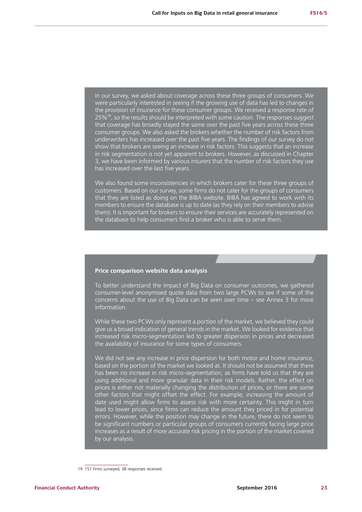In our survey, we asked about coverage across these three groups of consumers. We were particularly interested in seeing if the growing use of data has led to changes in the provision of insurance for these consumer groups. We received a response rate of  $25\%$ <sup>19</sup>, so the results should be interpreted with some caution. The responses suggest that coverage has broadly stayed the same over the past five years across these three consumer groups. We also asked the brokers whether the number of risk factors from underwriters has increased over the past five years. The findings of our survey do not show that brokers are seeing an increase in risk factors. This suggests that an increase in risk segmentation is not yet apparent to brokers. However, as discussed in Chapter 3, we have been informed by various insurers that the number of risk factors they use has increased over the last five years.

We also found some inconsistencies in which brokers cater for these three groups of customers. Based on our survey, some firms do not cater for the groups of consumers that they are listed as doing on the BIBA website. BIBA has agreed to work with its members to ensure the database is up to date (as they rely on their members to advise them). It is important for brokers to ensure their services are accurately represented on the database to help consumers find a broker who is able to serve them.

#### **Price comparison website data analysis**

To better understand the impact of Big Data on consumer outcomes, we gathered consumer-level anonymised quote data from two large PCWs to see if some of the concerns about the use of Big Data can be seen over time – see Annex 3 for more information.

While these two PCWs only represent a portion of the market, we believed they could give us a broad indication of general trends in the market. We looked for evidence that increased risk micro-segmentation led to greater dispersion in prices and decreased the availability of insurance for some types of consumers.

We did not see any increase in price dispersion for both motor and home insurance, based on the portion of the market we looked at. It should not be assumed that there has been no increase in risk micro-segmentation, as firms have told us that they are using additional and more granular data in their risk models. Rather, the effect on prices is either not materially changing the distribution of prices, or there are some other factors that might offset the effect. For example, increasing the amount of date used might allow firms to assess risk with more certainty. This might in turn lead to lower prices, since firms can reduce the amount they priced in for potential errors. However, while the position may change in the future, there do not seem to be significant numbers or particular groups of consumers currently facing large price increases as a result of more accurate risk pricing in the portion of the market covered by our analysis.

<sup>19</sup> 151 firms surveyed; 38 responses received.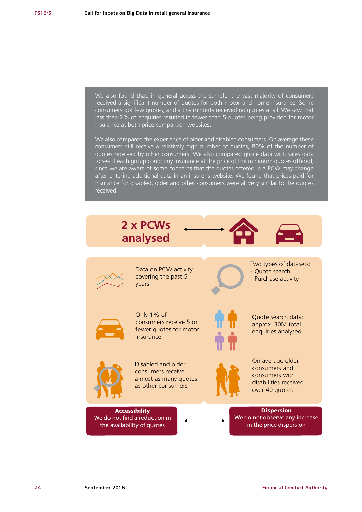We also found that, in general across the sample, the vast majority of consumers received a significant number of quotes for both motor and home insurance. Some consumers got few quotes, and a tiny minority received no quotes at all. We saw that less than 2% of enquiries resulted in fewer than 5 quotes being provided for motor insurance at both price comparison websites. We also compared the experience of older and disabled consumers. On average these consumers still receive a relatively high number of quotes, 80% of the number of quotes received by other consumers. We also compared quote data with sales data to see if each group could buy insurance at the price of the minimum quotes offered, since we are aware of some concerns that the quotes offered in a PCW may change after entering additional data in an insurer's website. We found that prices paid for insurance for disabled, older and other consumers were all very similar to the quotes received. Data on PCW activity covering the past 5 years Only 1% of consumers receive 5 or fewer quotes for motor insurance Disabled and older consumers receive almost as many quotes as other consumers Two types of datasets: - Quote search - Purchase activity Quote search data: approx. 30M total enquiries analysed On average older consumers and consumers with disabilities received over 40 quotes **2 x PCWs analysed Accessibility** We do not find a reduction in the availability of quotes **Dispersion** We do not observe any increase in the price dispersion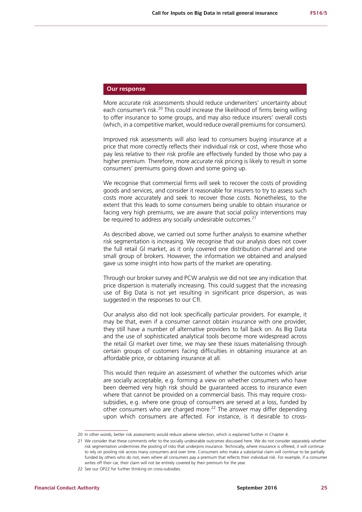## **Our response**

More accurate risk assessments should reduce underwriters' uncertainty about each consumer's risk.<sup>20</sup> This could increase the likelihood of firms being willing to offer insurance to some groups, and may also reduce insurers' overall costs (which, in a competitive market, would reduce overall premiums for consumers).

Improved risk assessments will also lead to consumers buying insurance at a price that more correctly reflects their individual risk or cost, where those who pay less relative to their risk profile are effectively funded by those who pay a higher premium. Therefore, more accurate risk pricing is likely to result in some consumers' premiums going down and some going up.

We recognise that commercial firms will seek to recover the costs of providing goods and services, and consider it reasonable for insurers to try to assess such costs more accurately and seek to recover those costs. Nonetheless, to the extent that this leads to some consumers being unable to obtain insurance or facing very high premiums, we are aware that social policy interventions may be required to address any socially undesirable outcomes.<sup>21</sup>

As described above, we carried out some further analysis to examine whether risk segmentation is increasing. We recognise that our analysis does not cover the full retail GI market, as it only covered one distribution channel and one small group of brokers. However, the information we obtained and analysed gave us some insight into how parts of the market are operating.

Through our broker survey and PCW analysis we did not see any indication that price dispersion is materially increasing. This could suggest that the increasing use of Big Data is not yet resulting in significant price dispersion, as was suggested in the responses to our CfI.

Our analysis also did not look specifically particular providers. For example, it may be that, even if a consumer cannot obtain insurance with one provider, they still have a number of alternative providers to fall back on. As Big Data and the use of sophisticated analytical tools become more widespread across the retail GI market over time, we may see these issues materialising through certain groups of customers facing difficulties in obtaining insurance at an affordable price, or obtaining insurance at all.

This would then require an assessment of whether the outcomes which arise are socially acceptable, e.g. forming a view on whether consumers who have been deemed very high risk should be guaranteed access to insurance even where that cannot be provided on a commercial basis. This may require crosssubsidies, e.g. where one group of consumers are served at a loss, funded by other consumers who are charged more.<sup>22</sup> The answer may differ depending upon which consumers are affected. For instance, is it desirable to cross-

<sup>20</sup> In other words, better risk assessments would reduce adverse selection, which is explained further in Chapter 4.

<sup>21</sup> We consider that these comments refer to the socially undesirable outcomes discussed here. We do not consider separately whether risk segmentation undermines the pooling of risks that underpins insurance. Technically, where insurance is offered, it will continue to rely on pooling risk across many consumers and over time. Consumers who make a substantial claim will continue to be partially funded by others who do not, even where all consumers pay a premium that reflects their individual risk. For example, if a consumer writes off their car, their claim will not be entirely covered by their premium for the year.

<sup>22</sup> See our OP22 for further thinking on cross-subsidies.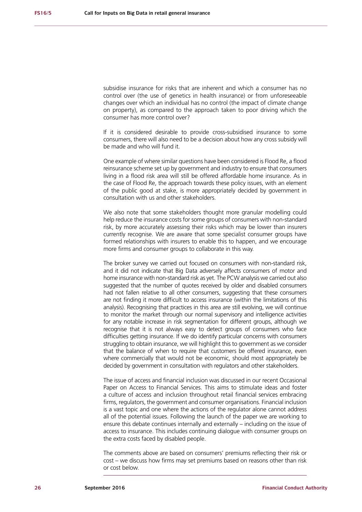subsidise insurance for risks that are inherent and which a consumer has no control over (the use of genetics in health insurance) or from unforeseeable changes over which an individual has no control (the impact of climate change on property), as compared to the approach taken to poor driving which the consumer has more control over?

If it is considered desirable to provide cross-subsidised insurance to some consumers, there will also need to be a decision about how any cross subsidy will be made and who will fund it.

One example of where similar questions have been considered is Flood Re, a flood reinsurance scheme set up by government and industry to ensure that consumers living in a flood risk area will still be offered affordable home insurance. As in the case of Flood Re, the approach towards these policy issues, with an element of the public good at stake, is more appropriately decided by government in consultation with us and other stakeholders.

We also note that some stakeholders thought more granular modelling could help reduce the insurance costs for some groups of consumers with non-standard risk, by more accurately assessing their risks which may be lower than insurers currently recognise. We are aware that some specialist consumer groups have formed relationships with insurers to enable this to happen, and we encourage more firms and consumer groups to collaborate in this way.

The broker survey we carried out focused on consumers with non-standard risk, and it did not indicate that Big Data adversely affects consumers of motor and home insurance with non-standard risk as yet. The PCW analysis we carried out also suggested that the number of quotes received by older and disabled consumers had not fallen relative to all other consumers, suggesting that these consumers are not finding it more difficult to access insurance (within the limitations of this analysis). Recognising that practices in this area are still evolving, we will continue to monitor the market through our normal supervisory and intelligence activities for any notable increase in risk segmentation for different groups, although we recognise that it is not always easy to detect groups of consumers who face difficulties getting insurance. If we do identify particular concerns with consumers struggling to obtain insurance, we will highlight this to government as we consider that the balance of when to require that customers be offered insurance, even where commercially that would not be economic, should most appropriately be decided by government in consultation with regulators and other stakeholders.

The issue of access and financial inclusion was discussed in our recent Occasional Paper on Access to Financial Services. This aims to stimulate ideas and foster a culture of access and inclusion throughout retail financial services embracing firms, regulators, the government and consumer organisations. Financial inclusion is a vast topic and one where the actions of the regulator alone cannot address all of the potential issues. Following the launch of the paper we are working to ensure this debate continues internally and externally – including on the issue of access to insurance. This includes continuing dialogue with consumer groups on the extra costs faced by disabled people.

The comments above are based on consumers' premiums reflecting their risk or cost – we discuss how firms may set premiums based on reasons other than risk or cost below.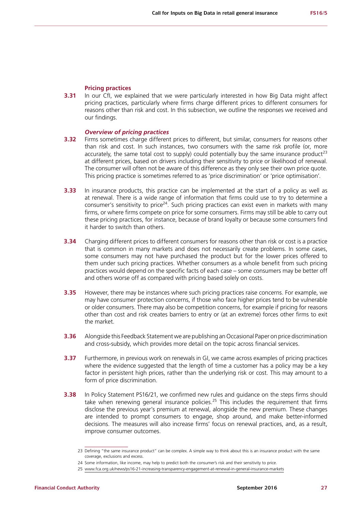## **Pricing practices**

**3.31** In our CfI, we explained that we were particularly interested in how Big Data might affect pricing practices, particularly where firms charge different prices to different consumers for reasons other than risk and cost. In this subsection, we outline the responses we received and our findings.

### *Overview of pricing practices*

- **3.32** Firms sometimes charge different prices to different, but similar, consumers for reasons other than risk and cost. In such instances, two consumers with the same risk profile (or, more accurately, the same total cost to supply) could potentially buy the same insurance product<sup>23</sup> at different prices, based on drivers including their sensitivity to price or likelihood of renewal. The consumer will often not be aware of this difference as they only see their own price quote. This pricing practice is sometimes referred to as 'price discrimination' or 'price optimisation'.
- **3.33** In insurance products, this practice can be implemented at the start of a policy as well as at renewal. There is a wide range of information that firms could use to try to determine a consumer's sensitivity to price<sup>24</sup>. Such pricing practices can exist even in markets with many firms, or where firms compete on price for some consumers. Firms may still be able to carry out these pricing practices, for instance, because of brand loyalty or because some consumers find it harder to switch than others.
- **3.34** Charging different prices to different consumers for reasons other than risk or cost is a practice that is common in many markets and does not necessarily create problems. In some cases, some consumers may not have purchased the product but for the lower prices offered to them under such pricing practices. Whether consumers as a whole benefit from such pricing practices would depend on the specific facts of each case – some consumers may be better off and others worse off as compared with pricing based solely on costs.
- **3.35** However, there may be instances where such pricing practices raise concerns. For example, we may have consumer protection concerns, if those who face higher prices tend to be vulnerable or older consumers. There may also be competition concerns, for example if pricing for reasons other than cost and risk creates barriers to entry or (at an extreme) forces other firms to exit the market.
- **3.36** Alongside this Feedback Statement we are publishing an Occasional Paper on price discrimination and cross-subsidy, which provides more detail on the topic across financial services.
- **3.37** Furthermore, in previous work on renewals in GI, we came across examples of pricing practices where the evidence suggested that the length of time a customer has a policy may be a key factor in persistent high prices, rather than the underlying risk or cost. This may amount to a form of price discrimination.
- **3.38** In Policy Statement PS16/21, we confirmed new rules and guidance on the steps firms should take when renewing general insurance policies.<sup>25</sup> This includes the requirement that firms disclose the previous year's premium at renewal, alongside the new premium. These changes are intended to prompt consumers to engage, shop around, and make better-informed decisions. The measures will also increase firms' focus on renewal practices, and, as a result, improve consumer outcomes.

<sup>23</sup> Defining "the same insurance product" can be complex. A simple way to think about this is an insurance product with the same coverage, exclusions and excess.

<sup>24</sup> Some information, like income, may help to predict both the consumer's risk and their sensitivity to price.

<sup>25</sup> [www.fca.org.uk/news/ps16-21-increasing-transparency-engagement-at-renewal-in-general-insurance-markets](https://www.fca.org.uk/sites/default/files/ps16-21.pdf)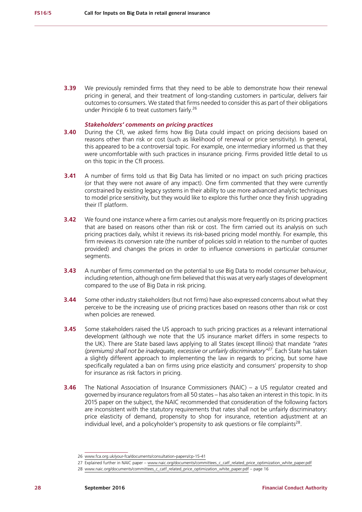**3.39** We previously reminded firms that they need to be able to demonstrate how their renewal pricing in general, and their treatment of long-standing customers in particular, delivers fair outcomes to consumers. We stated that firms needed to consider this as part of their obligations under Principle 6 to treat customers fairly.<sup>26</sup>

#### *Stakeholders' comments on pricing practices*

- **3.40** During the CfI, we asked firms how Big Data could impact on pricing decisions based on reasons other than risk or cost (such as likelihood of renewal or price sensitivity). In general, this appeared to be a controversial topic. For example, one intermediary informed us that they were uncomfortable with such practices in insurance pricing. Firms provided little detail to us on this topic in the CfI process.
- **3.41** A number of firms told us that Big Data has limited or no impact on such pricing practices (or that they were not aware of any impact). One firm commented that they were currently constrained by existing legacy systems in their ability to use more advanced analytic techniques to model price sensitivity, but they would like to explore this further once they finish upgrading their IT platform.
- **3.42** We found one instance where a firm carries out analysis more frequently on its pricing practices that are based on reasons other than risk or cost. The firm carried out its analysis on such pricing practices daily, whilst it reviews its risk-based pricing model monthly. For example, this firm reviews its conversion rate (the number of policies sold in relation to the number of quotes provided) and changes the prices in order to influence conversions in particular consumer segments.
- **3.43** A number of firms commented on the potential to use Big Data to model consumer behaviour, including retention, although one firm believed that this was at very early stages of development compared to the use of Big Data in risk pricing.
- **3.44** Some other industry stakeholders (but not firms) have also expressed concerns about what they perceive to be the increasing use of pricing practices based on reasons other than risk or cost when policies are renewed.
- **3.45** Some stakeholders raised the US approach to such pricing practices as a relevant international development (although we note that the US insurance market differs in some respects to the UK). There are State based laws applying to all States (except Illinois) that mandate *"rates (premiums) shall not be inadequate, excessive or unfairly discriminatory"27*. Each State has taken a slightly different approach to implementing the law in regards to pricing, but some have specifically regulated a ban on firms using price elasticity and consumers' propensity to shop for insurance as risk factors in pricing.
- **3.46** The National Association of Insurance Commissioners (NAIC) a US regulator created and governed by insurance regulators from all 50 states – has also taken an interest in this topic. In its 2015 paper on the subject, the NAIC recommended that consideration of the following factors are inconsistent with the statutory requirements that rates shall not be unfairly discriminatory: price elasticity of demand, propensity to shop for insurance, retention adjustment at an individual level, and a policyholder's propensity to ask questions or file complaints $^{28}$ .

27 Explained further in NAIC paper – [www.naic.org/documents/committees\\_c\\_catf\\_related\\_price\\_optimization\\_white\\_paper.pdf](http://www.naic.org/documents/committees_c_catf_related_price_optimization_white_paper.pdf)

<sup>26</sup> [www.fca.org.uk/your-fca/documents/consultation-papers/cp-15-41](http://www.fca.org.uk/your-fca/documents/consultation-papers/cp-15-41)

<sup>28</sup> [www.naic.org/documents/committees\\_c\\_catf\\_related\\_price\\_optimization\\_white\\_paper.pdf](http://www.naic.org/documents/committees_c_catf_related_price_optimization_white_paper.pdf) – page 16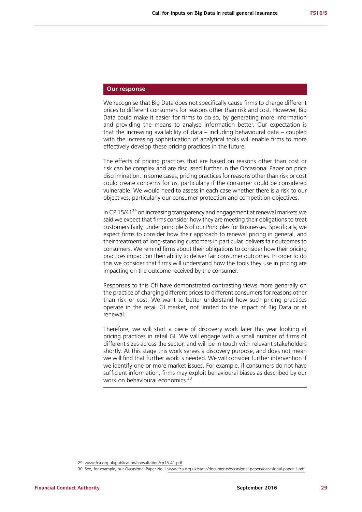## **Our response**

We recognise that Big Data does not specifically cause firms to charge different prices to different consumers for reasons other than risk and cost. However, Big Data could make it easier for firms to do so, by generating more information and providing the means to analyse information better. Our expectation is that the increasing availability of data – including behavioural data – coupled with the increasing sophistication of analytical tools will enable firms to more effectively develop these pricing practices in the future.

The effects of pricing practices that are based on reasons other than cost or risk can be complex and are discussed further in the Occasional Paper on price discrimination. In some cases, pricing practices for reasons other than risk or cost could create concerns for us, particularly if the consumer could be considered vulnerable. We would need to assess in each case whether there is a risk to our objectives, particularly our consumer protection and competition objectives.

In CP 15/41<sup>29</sup> on increasing transparency and engagement at renewal markets, we said we expect that firms consider how they are meeting their obligations to treat customers fairly, under principle 6 of our Principles for Businesses. Specifically, we expect firms to consider how their approach to renewal pricing in general, and their treatment of long-standing customers in particular, delivers fair outcomes to consumers. We remind firms about their obligations to consider how their pricing practices impact on their ability to deliver fair consumer outcomes. In order to do this we consider that firms will understand how the tools they use in pricing are impacting on the outcome received by the consumer.

Responses to this CfI have demonstrated contrasting views more generally on the practice of charging different prices to different consumers for reasons other than risk or cost. We want to better understand how such pricing practices operate in the retail GI market, not limited to the impact of Big Data or at renewal.

Therefore, we will start a piece of discovery work later this year looking at pricing practices in retail GI. We will engage with a small number of firms of different sizes across the sector, and will be in touch with relevant stakeholders shortly. At this stage this work serves a discovery purpose, and does not mean we will find that further work is needed. We will consider further intervention if we identify one or more market issues. For example, if consumers do not have sufficient information, firms may exploit behavioural biases as described by our work on behavioural economics.<sup>30</sup>

<sup>29</sup> [www.fca.org.uk/publication/consultation/cp15-41.pdf](http://www.fca.org.uk/publication/consultation/cp15-41.pdf)

<sup>30</sup> See, for example, our Occasional Paper No 1 [www.fca.org.uk/static/documents/occasional-papers/occasional-paper-1.pdf](http://www.fca.org.uk/static/documents/occasional-papers/occasional-paper-1.pdf)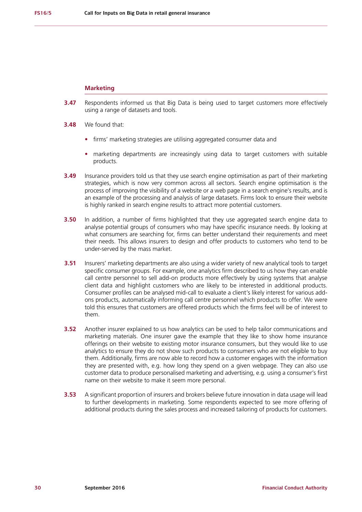#### **Marketing**

- **3.47** Respondents informed us that Big Data is being used to target customers more effectively using a range of datasets and tools.
- **3.48** We found that:
	- **•** firms' marketing strategies are utilising aggregated consumer data and
	- **•** marketing departments are increasingly using data to target customers with suitable products.
- **3.49** Insurance providers told us that they use search engine optimisation as part of their marketing strategies, which is now very common across all sectors. Search engine optimisation is the process of improving the visibility of a website or a web page in a search engine's results, and is an example of the processing and analysis of large datasets. Firms look to ensure their website is highly ranked in search engine results to attract more potential customers.
- **3.50** In addition, a number of firms highlighted that they use aggregated search engine data to analyse potential groups of consumers who may have specific insurance needs. By looking at what consumers are searching for, firms can better understand their requirements and meet their needs. This allows insurers to design and offer products to customers who tend to be under-served by the mass market.
- **3.51** Insurers' marketing departments are also using a wider variety of new analytical tools to target specific consumer groups. For example, one analytics firm described to us how they can enable call centre personnel to sell add-on products more effectively by using systems that analyse client data and highlight customers who are likely to be interested in additional products. Consumer profiles can be analysed mid-call to evaluate a client's likely interest for various addons products, automatically informing call centre personnel which products to offer. We were told this ensures that customers are offered products which the firms feel will be of interest to them.
- **3.52** Another insurer explained to us how analytics can be used to help tailor communications and marketing materials. One insurer gave the example that they like to show home insurance offerings on their website to existing motor insurance consumers, but they would like to use analytics to ensure they do not show such products to consumers who are not eligible to buy them. Additionally, firms are now able to record how a customer engages with the information they are presented with, e.g. how long they spend on a given webpage. They can also use customer data to produce personalised marketing and advertising, e.g. using a consumer's first name on their website to make it seem more personal.
- **3.53** A significant proportion of insurers and brokers believe future innovation in data usage will lead to further developments in marketing. Some respondents expected to see more offering of additional products during the sales process and increased tailoring of products for customers.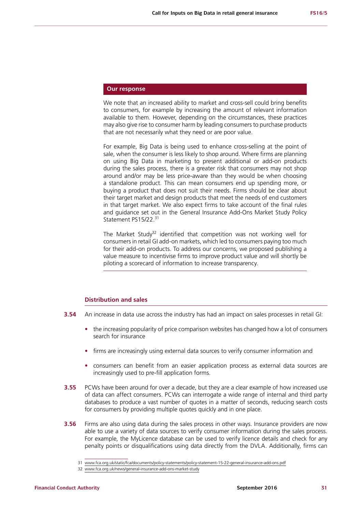## **Our response**

We note that an increased ability to market and cross-sell could bring benefits to consumers, for example by increasing the amount of relevant information available to them. However, depending on the circumstances, these practices may also give rise to consumer harm by leading consumers to purchase products that are not necessarily what they need or are poor value.

For example, Big Data is being used to enhance cross-selling at the point of sale, when the consumer is less likely to shop around. Where firms are planning on using Big Data in marketing to present additional or add-on products during the sales process, there is a greater risk that consumers may not shop around and/or may be less price-aware than they would be when choosing a standalone product. This can mean consumers end up spending more, or buying a product that does not suit their needs. Firms should be clear about their target market and design products that meet the needs of end customers in that target market. We also expect firms to take account of the final rules and guidance set out in the General Insurance Add-Ons Market Study Policy Statement PS15/22.<sup>31</sup>

The Market Study<sup>32</sup> identified that competition was not working well for consumers in retail GI add-on markets, which led to consumers paying too much for their add-on products. To address our concerns, we proposed publishing a value measure to incentivise firms to improve product value and will shortly be piloting a scorecard of information to increase transparency.

## **Distribution and sales**

- **3.54** An increase in data use across the industry has had an impact on sales processes in retail GI:
	- the increasing popularity of price comparison websites has changed how a lot of consumers search for insurance
	- **•** firms are increasingly using external data sources to verify consumer information and
	- **•** consumers can benefit from an easier application process as external data sources are increasingly used to pre-fill application forms.
- **3.55** PCWs have been around for over a decade, but they are a clear example of how increased use of data can affect consumers. PCWs can interrogate a wide range of internal and third party databases to produce a vast number of quotes in a matter of seconds, reducing search costs for consumers by providing multiple quotes quickly and in one place.
- **3.56** Firms are also using data during the sales process in other ways. Insurance providers are now able to use a variety of data sources to verify consumer information during the sales process. For example, the MyLicence database can be used to verify licence details and check for any penalty points or disqualifications using data directly from the DVLA. Additionally, firms can

<sup>31</sup> [www.fca.org.uk/static/fca/documents/policy-statements/policy-statement-15-22-general-insurance-add-ons.pdf](http://www.fca.org.uk/static/fca/documents/policy-statements/policy-statement-15-22-general-insurance-add-ons.pdf)

<sup>32</sup> [www.fca.org.uk/news/general-insurance-add-ons-market-study](http://www.fca.org.uk/news/general-insurance-add-ons-market-study)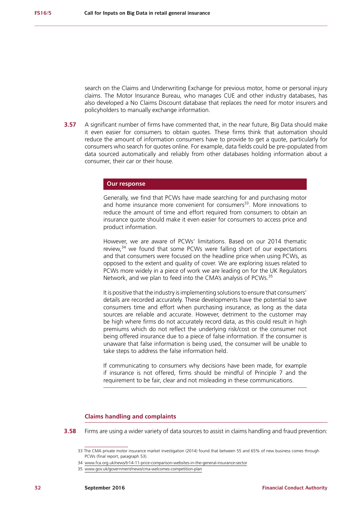search on the Claims and Underwriting Exchange for previous motor, home or personal injury claims. The Motor Insurance Bureau, who manages CUE and other industry databases, has also developed a No Claims Discount database that replaces the need for motor insurers and policyholders to manually exchange information.

**3.57** A significant number of firms have commented that, in the near future. Big Data should make it even easier for consumers to obtain quotes. These firms think that automation should reduce the amount of information consumers have to provide to get a quote, particularly for consumers who search for quotes online. For example, data fields could be pre-populated from data sourced automatically and reliably from other databases holding information about a consumer, their car or their house.

### **Our response**

Generally, we find that PCWs have made searching for and purchasing motor and home insurance more convenient for consumers $33$ . More innovations to reduce the amount of time and effort required from consumers to obtain an insurance quote should make it even easier for consumers to access price and product information.

However, we are aware of PCWs' limitations. Based on our 2014 thematic review, $34$  we found that some PCWs were falling short of our expectations and that consumers were focused on the headline price when using PCWs, as opposed to the extent and quality of cover. We are exploring issues related to PCWs more widely in a piece of work we are leading on for the UK Regulators Network, and we plan to feed into the CMA's analysis of PCWs.<sup>35</sup>

It is positive that the industry is implementing solutions to ensure that consumers' details are recorded accurately. These developments have the potential to save consumers time and effort when purchasing insurance, as long as the data sources are reliable and accurate. However, detriment to the customer may be high where firms do not accurately record data, as this could result in high premiums which do not reflect the underlying risk/cost or the consumer not being offered insurance due to a piece of false information. If the consumer is unaware that false information is being used, the consumer will be unable to take steps to address the false information held.

If communicating to consumers why decisions have been made, for example if insurance is not offered, firms should be mindful of Principle 7 and the requirement to be fair, clear and not misleading in these communications.

### **Claims handling and complaints**

**3.58** Firms are using a wider variety of data sources to assist in claims handling and fraud prevention:

<sup>33</sup> The CMA private motor insurance market investigation (2014) found that between 55 and 65% of new business comes through PCWs (final report, paragraph 53).

<sup>34</sup> [www.fca.org.uk/news/tr14-11-price-comparison-websites-in-the-general-insurance-sector](http://www.fca.org.uk/news/tr14-11-price-comparison-websites-in-the-general-insurance-sector)

<sup>35</sup> [www.gov.uk/government/news/cma-welcomes-competition-pla](http://www.gov.uk/government/news/cma-welcomes-competition-plan)n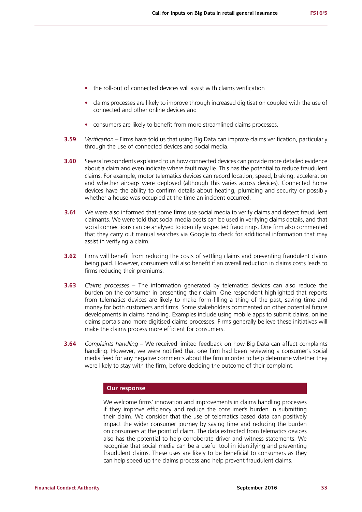- **•** the roll-out of connected devices will assist with claims verification
- **•** claims processes are likely to improve through increased digitisation coupled with the use of connected and other online devices and
- **•** consumers are likely to benefit from more streamlined claims processes.
- **3.59** *Verification –* Firms have told us that using Big Data can improve claims verification, particularly through the use of connected devices and social media.
- **3.60** Several respondents explained to us how connected devices can provide more detailed evidence about a claim and even indicate where fault may lie. This has the potential to reduce fraudulent claims. For example, motor telematics devices can record location, speed, braking, acceleration and whether airbags were deployed (although this varies across devices). Connected home devices have the ability to confirm details about heating, plumbing and security or possibly whether a house was occupied at the time an incident occurred.
- **3.61** We were also informed that some firms use social media to verify claims and detect fraudulent claimants. We were told that social media posts can be used in verifying claims details, and that social connections can be analysed to identify suspected fraud rings. One firm also commented that they carry out manual searches via Google to check for additional information that may assist in verifying a claim.
- **3.62** Firms will benefit from reducing the costs of settling claims and preventing fraudulent claims being paid. However, consumers will also benefit if an overall reduction in claims costs leads to firms reducing their premiums.
- **3.63** *Claims processes* The information generated by telematics devices can also reduce the burden on the consumer in presenting their claim. One respondent highlighted that reports from telematics devices are likely to make form-filling a thing of the past, saving time and money for both customers and firms. Some stakeholders commented on other potential future developments in claims handling. Examples include using mobile apps to submit claims, online claims portals and more digitised claims processes. Firms generally believe these initiatives will make the claims process more efficient for consumers.
- **3.64** *Complaints handling* We received limited feedback on how Big Data can affect complaints handling. However, we were notified that one firm had been reviewing a consumer's social media feed for any negative comments about the firm in order to help determine whether they were likely to stay with the firm, before deciding the outcome of their complaint.

## **Our response**

We welcome firms' innovation and improvements in claims handling processes if they improve efficiency and reduce the consumer's burden in submitting their claim. We consider that the use of telematics based data can positively impact the wider consumer journey by saving time and reducing the burden on consumers at the point of claim. The data extracted from telematics devices also has the potential to help corroborate driver and witness statements. We recognise that social media can be a useful tool in identifying and preventing fraudulent claims. These uses are likely to be beneficial to consumers as they can help speed up the claims process and help prevent fraudulent claims.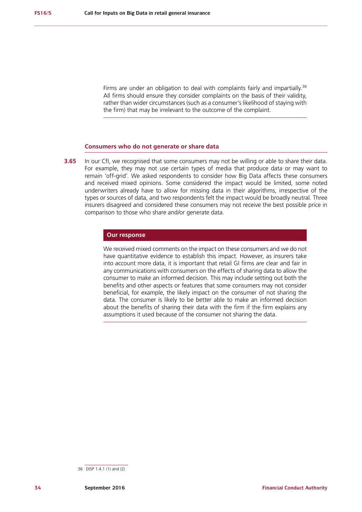Firms are under an obligation to deal with complaints fairly and impartially.<sup>36</sup> All firms should ensure they consider complaints on the basis of their validity, rather than wider circumstances (such as a consumer's likelihood of staying with the firm) that may be irrelevant to the outcome of the complaint.

#### **Consumers who do not generate or share data**

**3.65** In our CfI, we recognised that some consumers may not be willing or able to share their data. For example, they may not use certain types of media that produce data or may want to remain 'off-grid'. We asked respondents to consider how Big Data affects these consumers and received mixed opinions. Some considered the impact would be limited, some noted underwriters already have to allow for missing data in their algorithms, irrespective of the types or sources of data, and two respondents felt the impact would be broadly neutral. Three insurers disagreed and considered these consumers may not receive the best possible price in comparison to those who share and/or generate data.

### **Our response**

We received mixed comments on the impact on these consumers and we do not have quantitative evidence to establish this impact. However, as insurers take into account more data, it is important that retail GI firms are clear and fair in any communications with consumers on the effects of sharing data to allow the consumer to make an informed decision. This may include setting out both the benefits and other aspects or features that some consumers may not consider beneficial, for example, the likely impact on the consumer of not sharing the data. The consumer is likely to be better able to make an informed decision about the benefits of sharing their data with the firm if the firm explains any assumptions it used because of the consumer not sharing the data.

<sup>36</sup> DISP 1.4.1 (1) and (2)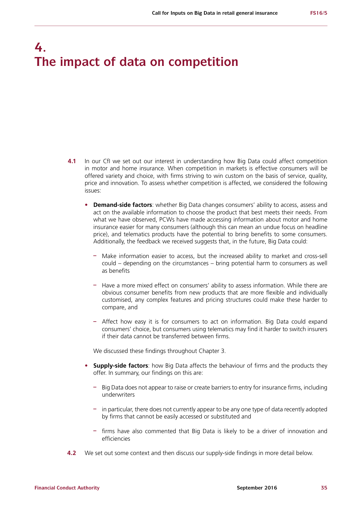## **4. The impact of data on competition**

- **4.1** In our CfI we set out our interest in understanding how Big Data could affect competition in motor and home insurance. When competition in markets is effective consumers will be offered variety and choice, with firms striving to win custom on the basis of service, quality, price and innovation. To assess whether competition is affected, we considered the following issues:
	- **• Demand-side factors**: whether Big Data changes consumers' ability to access, assess and act on the available information to choose the product that best meets their needs. From what we have observed, PCWs have made accessing information about motor and home insurance easier for many consumers (although this can mean an undue focus on headline price), and telematics products have the potential to bring benefits to some consumers. Additionally, the feedback we received suggests that, in the future, Big Data could:
		- **–** Make information easier to access, but the increased ability to market and cross-sell could – depending on the circumstances – bring potential harm to consumers as well as benefits
		- **–** Have a more mixed effect on consumers' ability to assess information. While there are obvious consumer benefits from new products that are more flexible and individually customised, any complex features and pricing structures could make these harder to compare, and
		- **–** Affect how easy it is for consumers to act on information. Big Data could expand consumers' choice, but consumers using telematics may find it harder to switch insurers if their data cannot be transferred between firms.

We discussed these findings throughout Chapter 3.

- **• Supply-side factors**: how Big Data affects the behaviour of firms and the products they offer. In summary, our findings on this are:
	- **–** Big Data does not appear to raise or create barriers to entry for insurance firms, including underwriters
	- **–** in particular, there does not currently appear to be any one type of data recently adopted by firms that cannot be easily accessed or substituted and
	- **–** firms have also commented that Big Data is likely to be a driver of innovation and efficiencies
- **4.2** We set out some context and then discuss our supply-side findings in more detail below.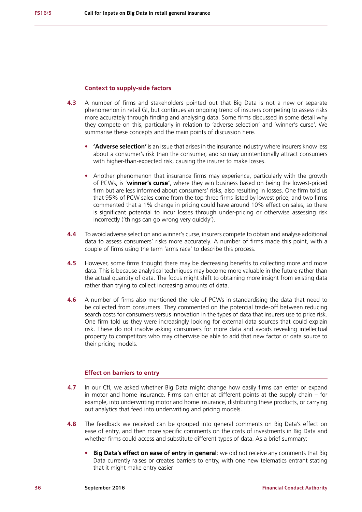#### **Context to supply-side factors**

- **4.3** A number of firms and stakeholders pointed out that Big Data is not a new or separate phenomenon in retail GI, but continues an ongoing trend of insurers competing to assess risks more accurately through finding and analysing data. Some firms discussed in some detail why they compete on this, particularly in relation to 'adverse selection' and 'winner's curse'. We summarise these concepts and the main points of discussion here.
	- **• 'Adverse selection'** is an issue that arises in the insurance industry where insurers know less about a consumer's risk than the consumer, and so may unintentionally attract consumers with higher-than-expected risk, causing the insurer to make losses.
	- **•** Another phenomenon that insurance firms may experience, particularly with the growth of PCWs, is '**winner's curse'**, where they win business based on being the lowest-priced firm but are less informed about consumers' risks, also resulting in losses. One firm told us that 95% of PCW sales come from the top three firms listed by lowest price, and two firms commented that a 1% change in pricing could have around 10% effect on sales, so there is significant potential to incur losses through under-pricing or otherwise assessing risk incorrectly ('things can go wrong very quickly').
- **4.4** To avoid adverse selection and winner's curse, insurers compete to obtain and analyse additional data to assess consumers' risks more accurately. A number of firms made this point, with a couple of firms using the term 'arms race' to describe this process.
- **4.5** However, some firms thought there may be decreasing benefits to collecting more and more data. This is because analytical techniques may become more valuable in the future rather than the actual quantity of data. The focus might shift to obtaining more insight from existing data rather than trying to collect increasing amounts of data.
- **4.6** A number of firms also mentioned the role of PCWs in standardising the data that need to be collected from consumers. They commented on the potential trade-off between reducing search costs for consumers versus innovation in the types of data that insurers use to price risk. One firm told us they were increasingly looking for external data sources that could explain risk. These do not involve asking consumers for more data and avoids revealing intellectual property to competitors who may otherwise be able to add that new factor or data source to their pricing models.

## **Effect on barriers to entry**

- **4.7** In our CfI, we asked whether Big Data might change how easily firms can enter or expand in motor and home insurance. Firms can enter at different points at the supply chain – for example, into underwriting motor and home insurance, distributing these products, or carrying out analytics that feed into underwriting and pricing models.
- **4.8** The feedback we received can be grouped into general comments on Big Data's effect on ease of entry, and then more specific comments on the costs of investments in Big Data and whether firms could access and substitute different types of data. As a brief summary:
	- **• Big Data's effect on ease of entry in general**: we did not receive any comments that Big Data currently raises or creates barriers to entry, with one new telematics entrant stating that it might make entry easier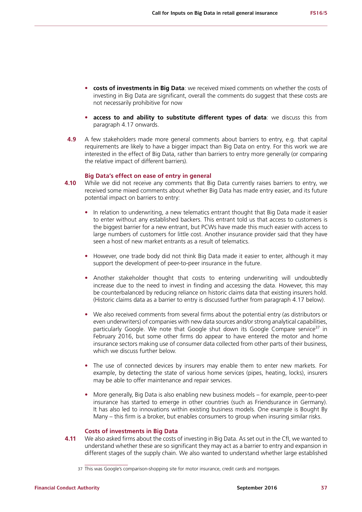- **• costs of investments in Big Data**: we received mixed comments on whether the costs of investing in Big Data are significant, overall the comments do suggest that these costs are not necessarily prohibitive for now
- **• access to and ability to substitute different types of data**: we discuss this from paragraph 4.17 onwards.
- **4.9** A few stakeholders made more general comments about barriers to entry, e.g. that capital requirements are likely to have a bigger impact than Big Data on entry. For this work we are interested in the effect of Big Data, rather than barriers to entry more generally (or comparing the relative impact of different barriers).

## **Big Data's effect on ease of entry in general**

- **4.10** While we did not receive any comments that Big Data currently raises barriers to entry, we received some mixed comments about whether Big Data has made entry easier, and its future potential impact on barriers to entry:
	- **•** In relation to underwriting, a new telematics entrant thought that Big Data made it easier to enter without any established backers. This entrant told us that access to customers is the biggest barrier for a new entrant, but PCWs have made this much easier with access to large numbers of customers for little cost. Another insurance provider said that they have seen a host of new market entrants as a result of telematics.
	- **•** However, one trade body did not think Big Data made it easier to enter, although it may support the development of peer-to-peer insurance in the future.
	- **•** Another stakeholder thought that costs to entering underwriting will undoubtedly increase due to the need to invest in finding and accessing the data. However, this may be counterbalanced by reducing reliance on historic claims data that existing insurers hold. (Historic claims data as a barrier to entry is discussed further from paragraph 4.17 below).
	- **•** We also received comments from several firms about the potential entry (as distributors or even underwriters) of companies with new data sources and/or strong analytical capabilities, particularly Google. We note that Google shut down its Google Compare service<sup>37</sup> in February 2016, but some other firms do appear to have entered the motor and home insurance sectors making use of consumer data collected from other parts of their business, which we discuss further below.
	- **•** The use of connected devices by insurers may enable them to enter new markets. For example, by detecting the state of various home services (pipes, heating, locks), insurers may be able to offer maintenance and repair services.
	- **•** More generally, Big Data is also enabling new business models for example, peer-to-peer insurance has started to emerge in other countries (such as Friendsurance in Germany). It has also led to innovations within existing business models. One example is Bought By Many – this firm is a broker, but enables consumers to group when insuring similar risks.

#### **Costs of investments in Big Data**

**4.11** We also asked firms about the costs of investing in Big Data. As set out in the CfI, we wanted to understand whether these are so significant they may act as a barrier to entry and expansion in different stages of the supply chain. We also wanted to understand whether large established

<sup>37</sup> This was Google's comparison-shopping site for motor insurance, credit cards and mortgages.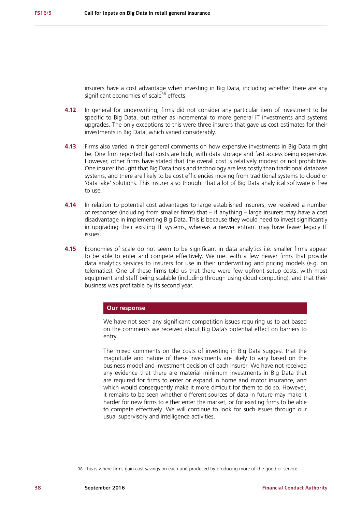insurers have a cost advantage when investing in Big Data, including whether there are any significant economies of scale<sup>38</sup> effects.

- **4.12** In general for underwriting, firms did not consider any particular item of investment to be specific to Big Data, but rather as incremental to more general IT investments and systems upgrades. The only exceptions to this were three insurers that gave us cost estimates for their investments in Big Data, which varied considerably.
- **4.13** Firms also varied in their general comments on how expensive investments in Big Data might be. One firm reported that costs are high, with data storage and fast access being expensive. However, other firms have stated that the overall cost is relatively modest or not prohibitive. One insurer thought that Big Data tools and technology are less costly than traditional database systems, and there are likely to be cost efficiencies moving from traditional systems to cloud or 'data lake' solutions. This insurer also thought that a lot of Big Data analytical software is free to use.
- **4.14** In relation to potential cost advantages to large established insurers, we received a number of responses (including from smaller firms) that – if anything – large insurers may have a cost disadvantage in implementing Big Data. This is because they would need to invest significantly in upgrading their existing IT systems, whereas a newer entrant may have fewer legacy IT issues.
- **4.15** Economies of scale do not seem to be significant in data analytics i.e. smaller firms appear to be able to enter and compete effectively. We met with a few newer firms that provide data analytics services to insurers for use in their underwriting and pricing models (e.g. on telematics). One of these firms told us that there were few upfront setup costs, with most equipment and staff being scalable (including through using cloud computing), and that their business was profitable by its second year.

#### **Our response**

We have not seen any significant competition issues requiring us to act based on the comments we received about Big Data's potential effect on barriers to entry.

The mixed comments on the costs of investing in Big Data suggest that the magnitude and nature of these investments are likely to vary based on the business model and investment decision of each insurer. We have not received any evidence that there are material minimum investments in Big Data that are required for firms to enter or expand in home and motor insurance, and which would consequently make it more difficult for them to do so. However, it remains to be seen whether different sources of data in future may make it harder for new firms to either enter the market, or for existing firms to be able to compete effectively. We will continue to look for such issues through our usual supervisory and intelligence activities.

<sup>38</sup> This is where firms gain cost savings on each unit produced by producing more of the good or service.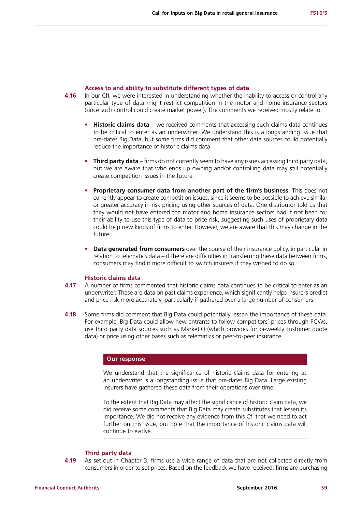#### **Access to and ability to substitute different types of data**

- **4.16** In our CfI, we were interested in understanding whether the inability to access or control any particular type of data might restrict competition in the motor and home insurance sectors (since such control could create market power). The comments we received mostly relate to:
	- **• Historic claims data** we received comments that accessing such claims data continues to be critical to enter as an underwriter. We understand this is a longstanding issue that pre-dates Big Data, but some firms did comment that other data sources could potentially reduce the importance of historic claims data.
	- **• Third party data** firms do not currently seem to have any issues accessing third party data, but we are aware that who ends up owning and/or controlling data may still potentially create competition issues in the future.
	- **• Proprietary consumer data from another part of the firm's business**. This does not currently appear to create competition issues, since it seems to be possible to achieve similar or greater accuracy in risk pricing using other sources of data. One distributor told us that they would not have entered the motor and home insurance sectors had it not been for their ability to use this type of data to price risk, suggesting such uses of proprietary data could help new kinds of firms to enter. However, we are aware that this may change in the future.
	- **• Data generated from consumers** over the course of their insurance policy, in particular in relation to telematics data – if there are difficulties in transferring these data between firms, consumers may find it more difficult to switch insurers if they wished to do so.

## **Historic claims data**

- **4.17** A number of firms commented that historic claims data continues to be critical to enter as an underwriter. These are data on past claims experience, which significantly helps insurers predict and price risk more accurately, particularly if gathered over a large number of consumers.
- **4.18** Some firms did comment that Big Data could potentially lessen the importance of these data. For example, Big Data could allow new entrants to follow competitors' prices through PCWs, use third party data sources such as MarketIQ (which provides for bi-weekly customer quote data) or price using other bases such as telematics or peer-to-peer insurance.

## **Our response**

We understand that the significance of historic claims data for entering as an underwriter is a longstanding issue that pre-dates Big Data. Large existing insurers have gathered these data from their operations over time.

To the extent that Big Data may affect the significance of historic claim data, we did receive some comments that Big Data may create substitutes that lessen its importance. We did not receive any evidence from this CfI that we need to act further on this issue, but note that the importance of historic claims data will continue to evolve.

#### **Third party data**

**4.19** As set out in Chapter 3, firms use a wide range of data that are not collected directly from consumers in order to set prices. Based on the feedback we have received, firms are purchasing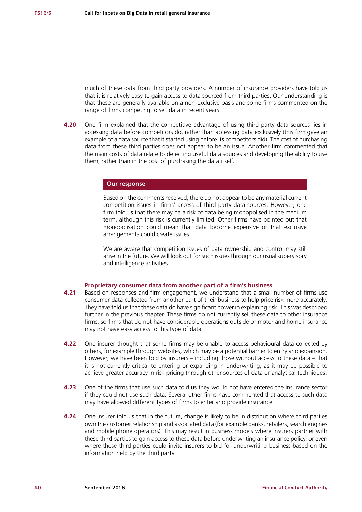much of these data from third party providers. A number of insurance providers have told us that it is relatively easy to gain access to data sourced from third parties. Our understanding is that these are generally available on a non-exclusive basis and some firms commented on the range of firms competing to sell data in recent years.

**4.20** One firm explained that the competitive advantage of using third party data sources lies in accessing data before competitors do, rather than accessing data exclusively (this firm gave an example of a data source that it started using before its competitors did). The cost of purchasing data from these third parties does not appear to be an issue. Another firm commented that the main costs of data relate to detecting useful data sources and developing the ability to use them, rather than in the cost of purchasing the data itself.

## **Our response**

Based on the comments received, there do not appear to be any material current competition issues in firms' access of third party data sources. However, one firm told us that there may be a risk of data being monopolised in the medium term, although this risk is currently limited. Other firms have pointed out that monopolisation could mean that data become expensive or that exclusive arrangements could create issues.

We are aware that competition issues of data ownership and control may still arise in the future. We will look out for such issues through our usual supervisory and intelligence activities.

## **Proprietary consumer data from another part of a firm's business**

- **4.21** Based on responses and firm engagement, we understand that a small number of firms use consumer data collected from another part of their business to help price risk more accurately. They have told us that these data do have significant power in explaining risk. This was described further in the previous chapter. These firms do not currently sell these data to other insurance firms, so firms that do not have considerable operations outside of motor and home insurance may not have easy access to this type of data.
- **4.22** One insurer thought that some firms may be unable to access behavioural data collected by others, for example through websites, which may be a potential barrier to entry and expansion. However, we have been told by insurers – including those without access to these data – that it is not currently critical to entering or expanding in underwriting, as it may be possible to achieve greater accuracy in risk pricing through other sources of data or analytical techniques.
- **4.23** One of the firms that use such data told us they would not have entered the insurance sector if they could not use such data. Several other firms have commented that access to such data may have allowed different types of firms to enter and provide insurance.
- **4.24** One insurer told us that in the future, change is likely to be in distribution where third parties own the customer relationship and associated data (for example banks, retailers, search engines and mobile phone operators). This may result in business models where insurers partner with these third parties to gain access to these data before underwriting an insurance policy, or even where these third parties could invite insurers to bid for underwriting business based on the information held by the third party.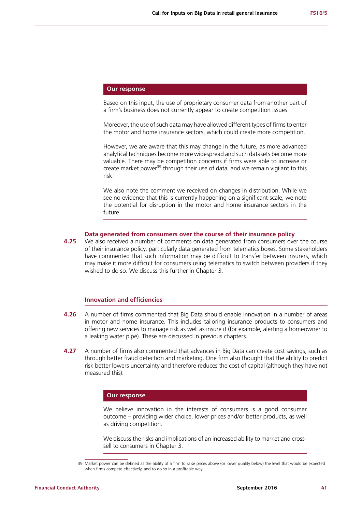## **Our response**

Based on this input, the use of proprietary consumer data from another part of a firm's business does not currently appear to create competition issues.

Moreover, the use of such data may have allowed different types of firms to enter the motor and home insurance sectors, which could create more competition.

However, we are aware that this may change in the future, as more advanced analytical techniques become more widespread and such datasets become more valuable. There may be competition concerns if firms were able to increase or create market power<sup>39</sup> through their use of data, and we remain vigilant to this risk.

We also note the comment we received on changes in distribution. While we see no evidence that this is currently happening on a significant scale, we note the potential for disruption in the motor and home insurance sectors in the future.

#### **Data generated from consumers over the course of their insurance policy**

**4.25** We also received a number of comments on data generated from consumers over the course of their insurance policy, particularly data generated from telematics boxes. Some stakeholders have commented that such information may be difficult to transfer between insurers, which may make it more difficult for consumers using telematics to switch between providers if they wished to do so. We discuss this further in Chapter 3.

## **Innovation and efficiencies**

- **4.26** A number of firms commented that Big Data should enable innovation in a number of areas in motor and home insurance. This includes tailoring insurance products to consumers and offering new services to manage risk as well as insure it (for example, alerting a homeowner to a leaking water pipe). These are discussed in previous chapters.
- **4.27** A number of firms also commented that advances in Big Data can create cost savings, such as through better fraud detection and marketing. One firm also thought that the ability to predict risk better lowers uncertainty and therefore reduces the cost of capital (although they have not measured this).

#### **Our response**

We believe innovation in the interests of consumers is a good consumer outcome – providing wider choice, lower prices and/or better products, as well as driving competition.

We discuss the risks and implications of an increased ability to market and crosssell to consumers in Chapter 3.

<sup>39</sup> Market power can be defined as the ability of a firm to raise prices above (or lower quality below) the level that would be expected when firms compete effectively, and to do so in a profitable way.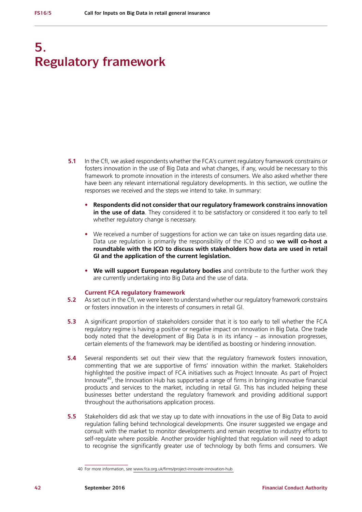## **5. Regulatory framework**

- **5.1** In the CfI, we asked respondents whether the FCA's current regulatory framework constrains or fosters innovation in the use of Big Data and what changes, if any, would be necessary to this framework to promote innovation in the interests of consumers. We also asked whether there have been any relevant international regulatory developments. In this section, we outline the responses we received and the steps we intend to take. In summary:
	- **• Respondents did not consider that our regulatory framework constrains innovation in the use of data**. They considered it to be satisfactory or considered it too early to tell whether regulatory change is necessary.
	- We received a number of suggestions for action we can take on issues regarding data use. Data use regulation is primarily the responsibility of the ICO and so **we will co-host a roundtable with the ICO to discuss with stakeholders how data are used in retail GI and the application of the current legislation.**
	- **• We will support European regulatory bodies** and contribute to the further work they are currently undertaking into Big Data and the use of data.

#### **Current FCA regulatory framework**

- **5.2** As set out in the CfI, we were keen to understand whether our regulatory framework constrains or fosters innovation in the interests of consumers in retail GI.
- **5.3** A significant proportion of stakeholders consider that it is too early to tell whether the FCA regulatory regime is having a positive or negative impact on innovation in Big Data. One trade body noted that the development of Big Data is in its infancy – as innovation progresses, certain elements of the framework may be identified as boosting or hindering innovation.
- **5.4** Several respondents set out their view that the regulatory framework fosters innovation, commenting that we are supportive of firms' innovation within the market. Stakeholders highlighted the positive impact of FCA initiatives such as Project Innovate. As part of Project Innovate<sup>40</sup>, the Innovation Hub has supported a range of firms in bringing innovative financial products and services to the market, including in retail GI. This has included helping these businesses better understand the regulatory framework and providing additional support throughout the authorisations application process.
- **5.5** Stakeholders did ask that we stay up to date with innovations in the use of Big Data to avoid regulation falling behind technological developments. One insurer suggested we engage and consult with the market to monitor developments and remain receptive to industry efforts to self-regulate where possible. Another provider highlighted that regulation will need to adapt to recognise the significantly greater use of technology by both firms and consumers. We

<sup>40</sup> For more information, see [www.fca.org.uk/firms/project-innovate-innovation-hub](http://www.fca.org.uk/firms/project-innovate-innovation-hub)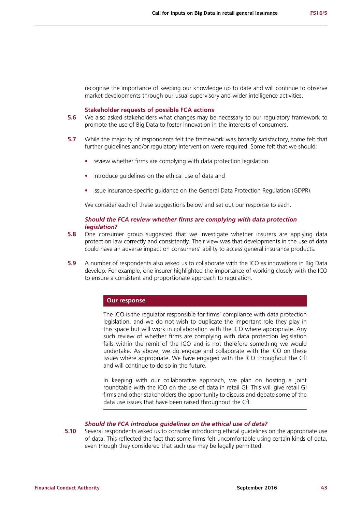recognise the importance of keeping our knowledge up to date and will continue to observe market developments through our usual supervisory and wider intelligence activities.

### **Stakeholder requests of possible FCA actions**

- **5.6** We also asked stakeholders what changes may be necessary to our regulatory framework to promote the use of Big Data to foster innovation in the interests of consumers.
- **5.7** While the majority of respondents felt the framework was broadly satisfactory, some felt that further guidelines and/or regulatory intervention were required. Some felt that we should:
	- **•** review whether firms are complying with data protection legislation
	- **•** introduce guidelines on the ethical use of data and
	- **•** issue insurance-specific guidance on the General Data Protection Regulation (GDPR).

We consider each of these suggestions below and set out our response to each.

## *Should the FCA review whether firms are complying with data protection legislation?*

- **5.8** One consumer group suggested that we investigate whether insurers are applying data protection law correctly and consistently. Their view was that developments in the use of data could have an adverse impact on consumers' ability to access general insurance products.
- **5.9** A number of respondents also asked us to collaborate with the ICO as innovations in Big Data develop. For example, one insurer highlighted the importance of working closely with the ICO to ensure a consistent and proportionate approach to regulation.

### **Our response**

The ICO is the regulator responsible for firms' compliance with data protection legislation, and we do not wish to duplicate the important role they play in this space but will work in collaboration with the ICO where appropriate. Any such review of whether firms are complying with data protection legislation falls within the remit of the ICO and is not therefore something we would undertake. As above, we do engage and collaborate with the ICO on these issues where appropriate. We have engaged with the ICO throughout the CfI and will continue to do so in the future.

In keeping with our collaborative approach, we plan on hosting a joint roundtable with the ICO on the use of data in retail GI. This will give retail GI firms and other stakeholders the opportunity to discuss and debate some of the data use issues that have been raised throughout the CfI.

## *Should the FCA introduce guidelines on the ethical use of data?*

**5.10** Several respondents asked us to consider introducing ethical guidelines on the appropriate use of data. This reflected the fact that some firms felt uncomfortable using certain kinds of data, even though they considered that such use may be legally permitted.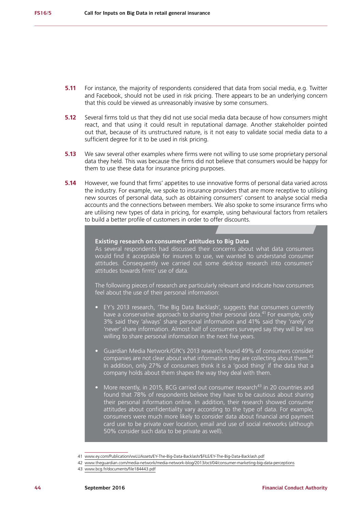- **5.11** For instance, the majority of respondents considered that data from social media, e.g. Twitter and Facebook, should not be used in risk pricing. There appears to be an underlying concern that this could be viewed as unreasonably invasive by some consumers.
- **5.12** Several firms told us that they did not use social media data because of how consumers might react, and that using it could result in reputational damage. Another stakeholder pointed out that, because of its unstructured nature, is it not easy to validate social media data to a sufficient degree for it to be used in risk pricing.
- **5.13** We saw several other examples where firms were not willing to use some proprietary personal data they held. This was because the firms did not believe that consumers would be happy for them to use these data for insurance pricing purposes.
- **5.14** However, we found that firms' appetites to use innovative forms of personal data varied across the industry. For example, we spoke to insurance providers that are more receptive to utilising new sources of personal data, such as obtaining consumers' consent to analyse social media accounts and the connections between members. We also spoke to some insurance firms who are utilising new types of data in pricing, for example, using behavioural factors from retailers to build a better profile of customers in order to offer discounts.

### **Existing research on consumers' attitudes to Big Data**

As several respondents had discussed their concerns about what data consumers would find it acceptable for insurers to use, we wanted to understand consumer attitudes. Consequently we carried out some desktop research into consumers' attitudes towards firms' use of data.

The following pieces of research are particularly relevant and indicate how consumers feel about the use of their personal information:

- EY's 2013 research, 'The Big Data Backlash', suggests that consumers currently have a conservative approach to sharing their personal data.<sup>41</sup> For example, only 3% said they 'always' share personal information and 41% said they 'rarely' or 'never' share information. Almost half of consumers surveyed say they will be less willing to share personal information in the next five years.
- Guardian Media Network/GfK's 2013 research found 49% of consumers consider companies are not clear about what information they are collecting about them.<sup>4</sup> In addition, only 27% of consumers think it is a 'good thing' if the data that a company holds about them shapes the way they deal with them.
- More recently, in 2015, BCG carried out consumer research $43$  in 20 countries and found that 78% of respondents believe they have to be cautious about sharing their personal information online. In addition, their research showed consumer attitudes about confidentiality vary according to the type of data. For example, consumers were much more likely to consider data about financial and payment card use to be private over location, email and use of social networks (although 50% consider such data to be private as well).

<sup>41</sup> [www.ey.com/Publication/vwLUAssets/EY-The-Big-Data-Backlash/\\$FILE/EY-The-Big-Data-Backlash.pdf](http://www.ey.com/Publication/vwLUAssets/EY-The-Big-Data-Backlash/$FILE/EY-The-Big-Data-Backlash.pdf)

<sup>42</sup> [www.theguardian.com/media-network/media-network-blog/2013/oct/04/consumer-marketing-big-data-perceptions](http://www.theguardian.com/media-network/media-network-blog/2013/oct/04/consumer-marketing-big-data-perceptions)

<sup>43</sup> [www.bcg.fr/documents/file184443.pdf](http://www.bcg.fr/documents/file184443.pdf)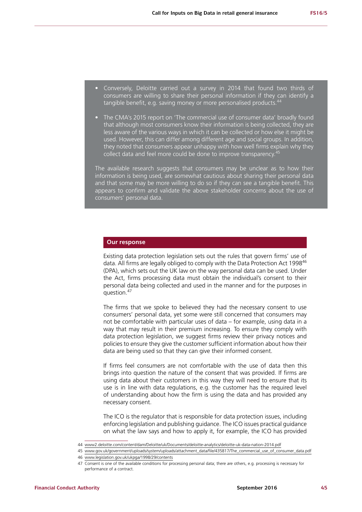- Conversely, Deloitte carried out a survey in 2014 that found two thirds of consumers are willing to share their personal information if they can identify a tangible benefit, e.g. saving money or more personalised products.
- The CMA's 2015 report on 'The commercial use of consumer data' broadly found that although most consumers know their information is being collected, they are less aware of the various ways in which it can be collected or how else it might be used. However, this can differ among different age and social groups. In addition, they noted that consumers appear unhappy with how well firms explain why they collect data and feel more could be done to improve transparency.<sup>45</sup>

The available research suggests that consumers may be unclear as to how their information is being used, are somewhat cautious about sharing their personal data and that some may be more willing to do so if they can see a tangible benefit. This appears to confirm and validate the above stakeholder concerns about the use of consumers' personal data.

## **Our response**

Existing data protection legislation sets out the rules that govern firms' use of data. All firms are legally obliged to comply with the Data Protection Act 1998<sup>46</sup> (DPA), which sets out the UK law on the way personal data can be used. Under the Act, firms processing data must obtain the individual's consent to their personal data being collected and used in the manner and for the purposes in question.<sup>47</sup>

The firms that we spoke to believed they had the necessary consent to use consumers' personal data, yet some were still concerned that consumers may not be comfortable with particular uses of data – for example, using data in a way that may result in their premium increasing. To ensure they comply with data protection legislation, we suggest firms review their privacy notices and policies to ensure they give the customer sufficient information about how their data are being used so that they can give their informed consent.

If firms feel consumers are not comfortable with the use of data then this brings into question the nature of the consent that was provided. If firms are using data about their customers in this way they will need to ensure that its use is in line with data regulations, e.g. the customer has the required level of understanding about how the firm is using the data and has provided any necessary consent.

The ICO is the regulator that is responsible for data protection issues, including enforcing legislation and publishing guidance. The ICO issues practical guidance on what the law says and how to apply it, for example, the ICO has provided

<sup>44</sup> [www2.deloitte.com/content/dam/Deloitte/uk/Documents/deloitte-analytics/deloitte-uk-data-nation-2014.pdf](http://www2.deloitte.com/content/dam/Deloitte/uk/Documents/deloitte-analytics/deloitte-uk-data-nation-2014.pdf)

<sup>45</sup> [www.gov.uk/government/uploads/system/uploads/attachment\\_data/file/435817/The\\_commercial\\_use\\_of\\_consumer\\_data.pdf](http://www.gov.uk/government/uploads/system/uploads/attachment_data/file/435817/The_commercial_use_of_consumer_data.pdf) 46 [www.legislation.gov.uk/ukpga/1998/29/contents](http://www.legislation.gov.uk/ukpga/1998/29/contents)

<sup>47</sup> Consent is one of the available conditions for processing personal data; there are others, e.g. processing is necessary for

performance of a contract.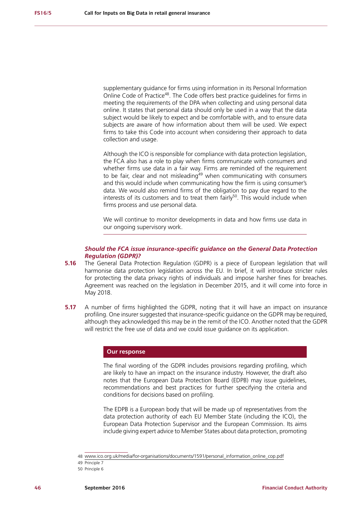supplementary guidance for firms using information in its Personal Information Online Code of Practice<sup>48</sup>. The Code offers best practice guidelines for firms in meeting the requirements of the DPA when collecting and using personal data online. It states that personal data should only be used in a way that the data subject would be likely to expect and be comfortable with, and to ensure data subjects are aware of how information about them will be used. We expect firms to take this Code into account when considering their approach to data collection and usage.

Although the ICO is responsible for compliance with data protection legislation, the FCA also has a role to play when firms communicate with consumers and whether firms use data in a fair way. Firms are reminded of the requirement to be fair, clear and not misleading<sup>49</sup> when communicating with consumers and this would include when communicating how the firm is using consumer's data. We would also remind firms of the obligation to pay due regard to the interests of its customers and to treat them  $fairlv<sup>50</sup>$ . This would include when firms process and use personal data.

We will continue to monitor developments in data and how firms use data in our ongoing supervisory work.

## *Should the FCA issue insurance-specific guidance on the General Data Protection Regulation (GDPR)?*

- **5.16** The General Data Protection Regulation (GDPR) is a piece of European legislation that will harmonise data protection legislation across the EU. In brief, it will introduce stricter rules for protecting the data privacy rights of individuals and impose harsher fines for breaches. Agreement was reached on the legislation in December 2015, and it will come into force in May 2018.
- **5.17** A number of firms highlighted the GDPR, noting that it will have an impact on insurance profiling. One insurer suggested that insurance-specific guidance on the GDPR may be required, although they acknowledged this may be in the remit of the ICO. Another noted that the GDPR will restrict the free use of data and we could issue guidance on its application.

### **Our response**

The final wording of the GDPR includes provisions regarding profiling, which are likely to have an impact on the insurance industry. However, the draft also notes that the European Data Protection Board (EDPB) may issue guidelines, recommendations and best practices for further specifying the criteria and conditions for decisions based on profiling.

The EDPB is a European body that will be made up of representatives from the data protection authority of each EU Member State (including the ICO), the European Data Protection Supervisor and the European Commission. Its aims include giving expert advice to Member States about data protection, promoting

<sup>48</sup> [www.ico.org.uk/media/for-organisations/documents/1591/personal\\_information\\_online\\_cop.pdf](http://www.ico.org.uk/media/for-organisations/documents/1591/personal_information_online_cop.pdf)

<sup>49</sup> Principle 7

<sup>50</sup> Principle 6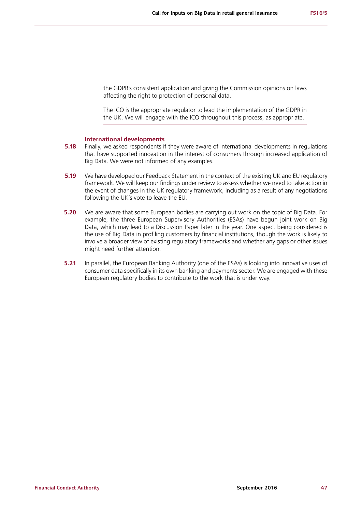the GDPR's consistent application and giving the Commission opinions on laws affecting the right to protection of personal data.

The ICO is the appropriate regulator to lead the implementation of the GDPR in the UK. We will engage with the ICO throughout this process, as appropriate.

### **International developments**

- **5.18** Finally, we asked respondents if they were aware of international developments in regulations that have supported innovation in the interest of consumers through increased application of Big Data. We were not informed of any examples.
- **5.19** We have developed our Feedback Statement in the context of the existing UK and EU regulatory framework. We will keep our findings under review to assess whether we need to take action in the event of changes in the UK regulatory framework, including as a result of any negotiations following the UK's vote to leave the EU.
- **5.20** We are aware that some European bodies are carrying out work on the topic of Big Data. For example, the three European Supervisory Authorities (ESAs) have begun joint work on Big Data, which may lead to a Discussion Paper later in the year. One aspect being considered is the use of Big Data in profiling customers by financial institutions, though the work is likely to involve a broader view of existing regulatory frameworks and whether any gaps or other issues might need further attention.
- **5.21** In parallel, the European Banking Authority (one of the ESAs) is looking into innovative uses of consumer data specifically in its own banking and payments sector. We are engaged with these European regulatory bodies to contribute to the work that is under way.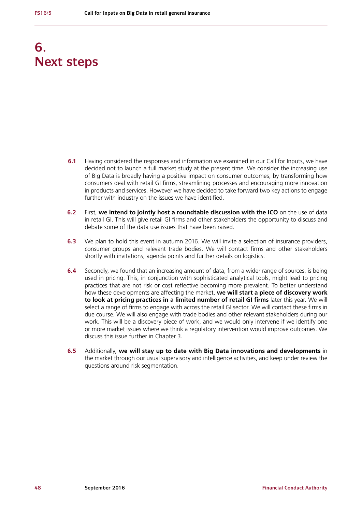## **6. Next steps**

- **6.1** Having considered the responses and information we examined in our Call for Inputs, we have decided not to launch a full market study at the present time. We consider the increasing use of Big Data is broadly having a positive impact on consumer outcomes, by transforming how consumers deal with retail GI firms, streamlining processes and encouraging more innovation in products and services. However we have decided to take forward two key actions to engage further with industry on the issues we have identified.
- **6.2** First, **we intend to jointly host a roundtable discussion with the ICO** on the use of data in retail GI. This will give retail GI firms and other stakeholders the opportunity to discuss and debate some of the data use issues that have been raised.
- **6.3** We plan to hold this event in autumn 2016. We will invite a selection of insurance providers, consumer groups and relevant trade bodies. We will contact firms and other stakeholders shortly with invitations, agenda points and further details on logistics.
- **6.4** Secondly, we found that an increasing amount of data, from a wider range of sources, is being used in pricing. This, in conjunction with sophisticated analytical tools, might lead to pricing practices that are not risk or cost reflective becoming more prevalent. To better understand how these developments are affecting the market, **we will start a piece of discovery work to look at pricing practices in a limited number of retail GI firms** later this year. We will select a range of firms to engage with across the retail GI sector. We will contact these firms in due course. We will also engage with trade bodies and other relevant stakeholders during our work. This will be a discovery piece of work, and we would only intervene if we identify one or more market issues where we think a regulatory intervention would improve outcomes. We discuss this issue further in Chapter 3.
- **6.5** Additionally, **we will stay up to date with Big Data innovations and developments** in the market through our usual supervisory and intelligence activities, and keep under review the questions around risk segmentation.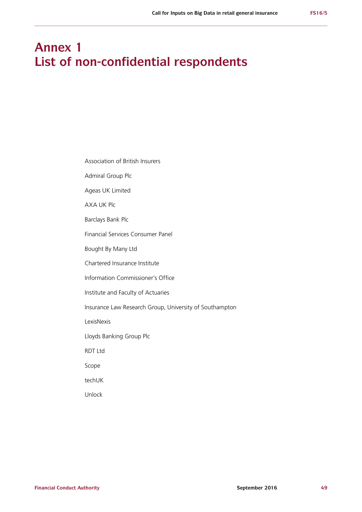## **Annex 1 List of non-confidential respondents**

Association of British Insurers

Admiral Group Plc

Ageas UK Limited

AXA UK Plc

Barclays Bank Plc

Financial Services Consumer Panel

Bought By Many Ltd

Chartered Insurance Institute

Information Commissioner's Office

Institute and Faculty of Actuaries

Insurance Law Research Group, University of Southampton

LexisNexis

Lloyds Banking Group Plc

RDT Ltd

Scope

techUK

Unlock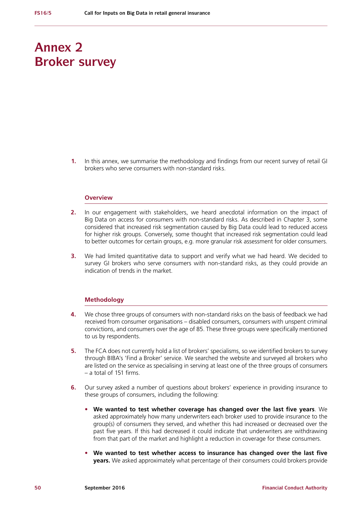## **Annex 2 Broker survey**

**1.** In this annex, we summarise the methodology and findings from our recent survey of retail GI brokers who serve consumers with non-standard risks.

#### **Overview**

- **2.** In our engagement with stakeholders, we heard anecdotal information on the impact of Big Data on access for consumers with non-standard risks. As described in Chapter 3, some considered that increased risk segmentation caused by Big Data could lead to reduced access for higher risk groups. Conversely, some thought that increased risk segmentation could lead to better outcomes for certain groups, e.g. more granular risk assessment for older consumers.
- **3.** We had limited quantitative data to support and verify what we had heard. We decided to survey GI brokers who serve consumers with non-standard risks, as they could provide an indication of trends in the market.

#### **Methodology**

- **4.** We chose three groups of consumers with non-standard risks on the basis of feedback we had received from consumer organisations – disabled consumers, consumers with unspent criminal convictions, and consumers over the age of 85. These three groups were specifically mentioned to us by respondents.
- **5.** The FCA does not currently hold a list of brokers' specialisms, so we identified brokers to survey through BIBA's 'Find a Broker' service. We searched the website and surveyed all brokers who are listed on the service as specialising in serving at least one of the three groups of consumers – a total of 151 firms.
- **6.** Our survey asked a number of questions about brokers' experience in providing insurance to these groups of consumers, including the following:
	- **• We wanted to test whether coverage has changed over the last five years**. We asked approximately how many underwriters each broker used to provide insurance to the group(s) of consumers they served, and whether this had increased or decreased over the past five years. If this had decreased it could indicate that underwriters are withdrawing from that part of the market and highlight a reduction in coverage for these consumers.
	- **• We wanted to test whether access to insurance has changed over the last five years.** We asked approximately what percentage of their consumers could brokers provide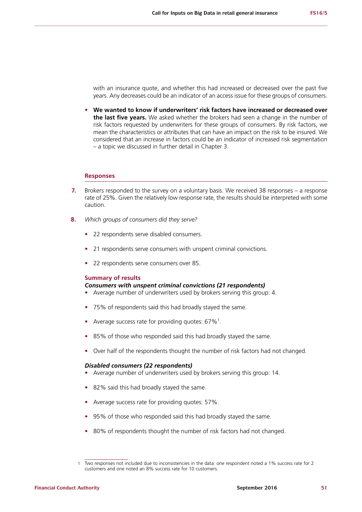with an insurance quote, and whether this had increased or decreased over the past five years. Any decreases could be an indicator of an access issue for these groups of consumers.

**• We wanted to know if underwriters' risk factors have increased or decreased over the last five years.** We asked whether the brokers had seen a change in the number of risk factors requested by underwriters for these groups of consumers. By risk factors, we mean the characteristics or attributes that can have an impact on the risk to be insured. We considered that an increase in factors could be an indicator of increased risk segmentation – a topic we discussed in further detail in Chapter 3.

## **Responses**

- **7.** Brokers responded to the survey on a voluntary basis. We received 38 responses a response rate of 25%. Given the relatively low response rate, the results should be interpreted with some caution.
- **8.** *Which groups of consumers did they serve?*
	- **•** 22 respondents serve disabled consumers.
	- **•** 21 respondents serve consumers with unspent criminal convictions.
	- **•** 22 respondents serve consumers over 85.

#### **Summary of results**

### *Consumers with unspent criminal convictions (21 respondents)*

- **•** Average number of underwriters used by brokers serving this group: 4.
- **•** 75% of respondents said this had broadly stayed the same.
- Average success rate for providing quotes: 67%<sup>1</sup>.
- **•** 85% of those who responded said this had broadly stayed the same.
- **•** Over half of the respondents thought the number of risk factors had not changed.

#### *Disabled consumers (22 respondents)*

- **•** Average number of underwriters used by brokers serving this group: 14.
- **•** 82% said this had broadly stayed the same.
- **•** Average success rate for providing quotes: 57%.
- **•** 95% of those who responded said this had broadly stayed the same.
- **•** 80% of respondents thought the number of risk factors had not changed.

<sup>1</sup> Two responses not included due to inconsistencies in the data: one respondent noted a 1% success rate for 2 customers and one noted an 8% success rate for 10 customers.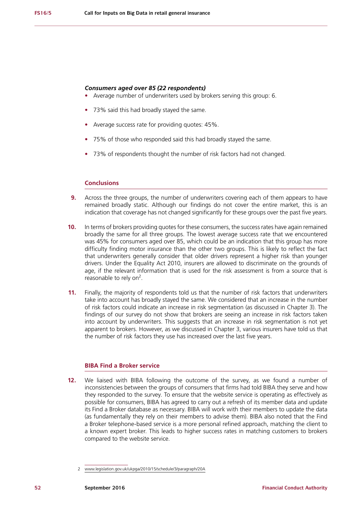#### *Consumers aged over 85 (22 respondents)*

- **•** Average number of underwriters used by brokers serving this group: 6.
- **•** 73% said this had broadly stayed the same.
- **•** Average success rate for providing quotes: 45%.
- **•** 75% of those who responded said this had broadly stayed the same.
- **•** 73% of respondents thought the number of risk factors had not changed.

## **Conclusions**

- **9.** Across the three groups, the number of underwriters covering each of them appears to have remained broadly static. Although our findings do not cover the entire market, this is an indication that coverage has not changed significantly for these groups over the past five years.
- **10.** In terms of brokers providing quotes for these consumers, the success rates have again remained broadly the same for all three groups. The lowest average success rate that we encountered was 45% for consumers aged over 85, which could be an indication that this group has more difficulty finding motor insurance than the other two groups. This is likely to reflect the fact that underwriters generally consider that older drivers represent a higher risk than younger drivers. Under the Equality Act 2010, insurers are allowed to discriminate on the grounds of age, if the relevant information that is used for the risk assessment is from a source that is reasonable to rely on<sup>2</sup>.
- **11.** Finally, the majority of respondents told us that the number of risk factors that underwriters take into account has broadly stayed the same. We considered that an increase in the number of risk factors could indicate an increase in risk segmentation (as discussed in Chapter 3). The findings of our survey do not show that brokers are seeing an increase in risk factors taken into account by underwriters. This suggests that an increase in risk segmentation is not yet apparent to brokers. However, as we discussed in Chapter 3, various insurers have told us that the number of risk factors they use has increased over the last five years.

### **BIBA Find a Broker service**

**12.** We liaised with BIBA following the outcome of the survey, as we found a number of inconsistencies between the groups of consumers that firms had told BIBA they serve and how they responded to the survey. To ensure that the website service is operating as effectively as possible for consumers, BIBA has agreed to carry out a refresh of its member data and update its Find a Broker database as necessary. BIBA will work with their members to update the data (as fundamentally they rely on their members to advise them). BIBA also noted that the Find a Broker telephone-based service is a more personal refined approach, matching the client to a known expert broker. This leads to higher success rates in matching customers to brokers compared to the website service.

<sup>2</sup> [www.legislation.gov.uk/ukpga/2010/15/schedule/3/paragraph/20A](http://www.legislation.gov.uk/ukpga/2010/15/schedule/3/paragraph/20A)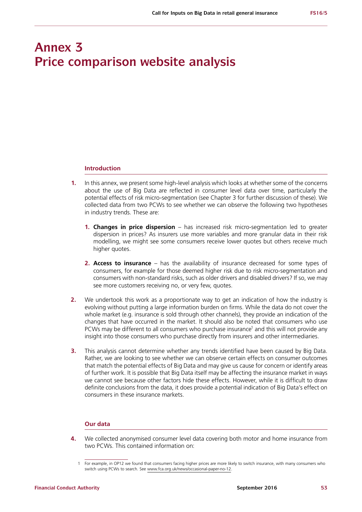## **Annex 3 Price comparison website analysis**

#### **Introduction**

- **1.** In this annex, we present some high-level analysis which looks at whether some of the concerns about the use of Big Data are reflected in consumer level data over time, particularly the potential effects of risk micro-segmentation (see Chapter 3 for further discussion of these). We collected data from two PCWs to see whether we can observe the following two hypotheses in industry trends. These are:
	- **1. Changes in price dispersion** has increased risk micro-segmentation led to greater dispersion in prices? As insurers use more variables and more granular data in their risk modelling, we might see some consumers receive lower quotes but others receive much higher quotes.
	- **2. Access to insurance** has the availability of insurance decreased for some types of consumers, for example for those deemed higher risk due to risk micro-segmentation and consumers with non-standard risks, such as older drivers and disabled drivers? If so, we may see more customers receiving no, or very few, quotes.
- **2.** We undertook this work as a proportionate way to get an indication of how the industry is evolving without putting a large information burden on firms. While the data do not cover the whole market (e.g. insurance is sold through other channels), they provide an indication of the changes that have occurred in the market. It should also be noted that consumers who use PCWs may be different to all consumers who purchase insurance<sup>1</sup> and this will not provide any insight into those consumers who purchase directly from insurers and other intermediaries.
- **3.** This analysis cannot determine whether any trends identified have been caused by Big Data. Rather, we are looking to see whether we can observe certain effects on consumer outcomes that match the potential effects of Big Data and may give us cause for concern or identify areas of further work. It is possible that Big Data itself may be affecting the insurance market in ways we cannot see because other factors hide these effects. However, while it is difficult to draw definite conclusions from the data, it does provide a potential indication of Big Data's effect on consumers in these insurance markets.

## **Our data**

**4.** We collected anonymised consumer level data covering both motor and home insurance from two PCWs. This contained information on:

<sup>1</sup> For example, in OP12 we found that consumers facing higher prices are more likely to switch insurance, with many consumers who switch using PCWs to search. See [www.fca.org.uk/news/occasional-paper-no-12](http://www.fca.org.uk/news/occasional-paper-no-12).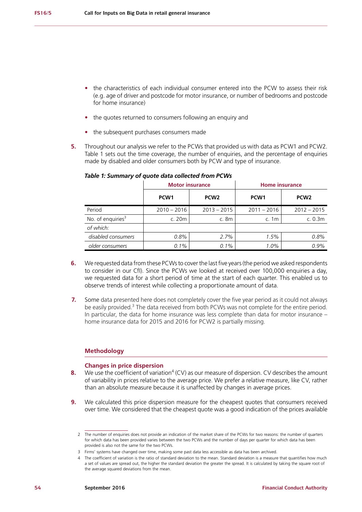- **•** the characteristics of each individual consumer entered into the PCW to assess their risk (e.g. age of driver and postcode for motor insurance, or number of bedrooms and postcode for home insurance)
- **•** the quotes returned to consumers following an enquiry and
- **•** the subsequent purchases consumers made
- **5.** Throughout our analysis we refer to the PCWs that provided us with data as PCW1 and PCW2. [Table 1](#page-55-0) sets out the time coverage, the number of enquiries, and the percentage of enquiries made by disabled and older consumers both by PCW and type of insurance.

|                               | <b>Motor insurance</b> |                  | <b>Home insurance</b> |                  |
|-------------------------------|------------------------|------------------|-----------------------|------------------|
|                               | PCW <sub>1</sub>       | PCW <sub>2</sub> | PCW <sub>1</sub>      | PCW <sub>2</sub> |
| Period                        | $2010 - 2016$          | $2013 - 2015$    | $2011 - 2016$         | $2012 - 2015$    |
| No. of enquiries <sup>3</sup> | c. 20m                 | c.8m             | c. $1m$               | c. 0.3m          |
| of which:                     |                        |                  |                       |                  |
| disabled consumers            | 0.8%                   | 2.7%             | 1.5%                  | 0.8%             |
| older consumers               | 0.1%                   | $0.1\%$          | $1.0\%$               | 0.9%             |

## <span id="page-55-0"></span>*Table 1: Summary of quote data collected from PCWs*

- **6.** We requested data from these PCWs to cover the last five years (the period we asked respondents to consider in our CfI). Since the PCWs we looked at received over 100,000 enquiries a day, we requested data for a short period of time at the start of each quarter. This enabled us to observe trends of interest while collecting a proportionate amount of data.
- **7.** Some data presented here does not completely cover the five year period as it could not always be easily provided.<sup>3</sup> The data received from both PCWs was not complete for the entire period. In particular, the data for home insurance was less complete than data for motor insurance – home insurance data for 2015 and 2016 for PCW2 is partially missing.

#### **Methodology**

#### **Changes in price dispersion**

- **8.** We use the coefficient of variation<sup>4</sup> (CV) as our measure of dispersion. CV describes the amount of variability in prices relative to the average price. We prefer a relative measure, like CV, rather than an absolute measure because it is unaffected by changes in average prices.
- **9.** We calculated this price dispersion measure for the cheapest quotes that consumers received over time. We considered that the cheapest quote was a good indication of the prices available

<sup>2</sup> The number of enquiries does not provide an indication of the market share of the PCWs for two reasons: the number of quarters for which data has been provided varies between the two PCWs and the number of days per quarter for which data has been provided is also not the same for the two PCWs.

<sup>3</sup> Firms' systems have changed over time, making some past data less accessible as data has been archived.

<sup>4</sup> The coefficient of variation is the ratio of standard deviation to the mean. Standard deviation is a measure that quantifies how much a set of values are spread out, the higher the standard deviation the greater the spread. It is calculated by taking the square root of the average squared deviations from the mean.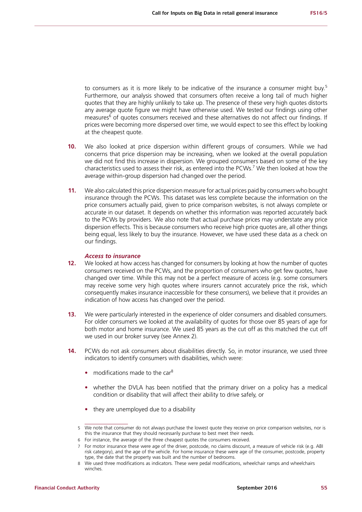to consumers as it is more likely to be indicative of the insurance a consumer might buy.<sup>5</sup> Furthermore, our analysis showed that consumers often receive a long tail of much higher quotes that they are highly unlikely to take up. The presence of these very high quotes distorts any average quote figure we might have otherwise used. We tested our findings using other measures<sup>6</sup> of quotes consumers received and these alternatives do not affect our findings. If prices were becoming more dispersed over time, we would expect to see this effect by looking at the cheapest quote.

- **10.** We also looked at price dispersion within different groups of consumers. While we had concerns that price dispersion may be increasing, when we looked at the overall population we did not find this increase in dispersion. We grouped consumers based on some of the key characteristics used to assess their risk, as entered into the PCWs.<sup>7</sup> We then looked at how the average within-group dispersion had changed over the period.
- **11.** We also calculated this price dispersion measure for actual prices paid by consumers who bought insurance through the PCWs. This dataset was less complete because the information on the price consumers actually paid, given to price comparison websites, is not always complete or accurate in our dataset. It depends on whether this information was reported accurately back to the PCWs by providers. We also note that actual purchase prices may understate any price dispersion effects. This is because consumers who receive high price quotes are, all other things being equal, less likely to buy the insurance. However, we have used these data as a check on our findings.

#### *Access to insurance*

- **12.** We looked at how access has changed for consumers by looking at how the number of quotes consumers received on the PCWs, and the proportion of consumers who get few quotes, have changed over time. While this may not be a perfect measure of access (e.g. some consumers may receive some very high quotes where insurers cannot accurately price the risk, which consequently makes insurance inaccessible for these consumers), we believe that it provides an indication of how access has changed over the period.
- **13.** We were particularly interested in the experience of older consumers and disabled consumers. For older consumers we looked at the availability of quotes for those over 85 years of age for both motor and home insurance. We used 85 years as the cut off as this matched the cut off we used in our broker survey (see Annex 2).
- **14.** PCWs do not ask consumers about disabilities directly. So, in motor insurance, we used three indicators to identify consumers with disabilities, which were:
	- modifications made to the car<sup>8</sup>
	- **•** whether the DVLA has been notified that the primary driver on a policy has a medical condition or disability that will affect their ability to drive safely, or
	- they are unemployed due to a disability

<sup>5</sup> We note that consumer do not always purchase the lowest quote they receive on price comparison websites, nor is this the insurance that they should necessarily purchase to best meet their needs.

<sup>6</sup> For instance, the average of the three cheapest quotes the consumers received.

<sup>7</sup> For motor insurance these were age of the driver, postcode, no claims discount, a measure of vehicle risk (e.g. ABI risk category), and the age of the vehicle. For home insurance these were age of the consumer, postcode, property type, the date that the property was built and the number of bedrooms.

<sup>8</sup> We used three modifications as indicators. These were pedal modifications, wheelchair ramps and wheelchairs winches.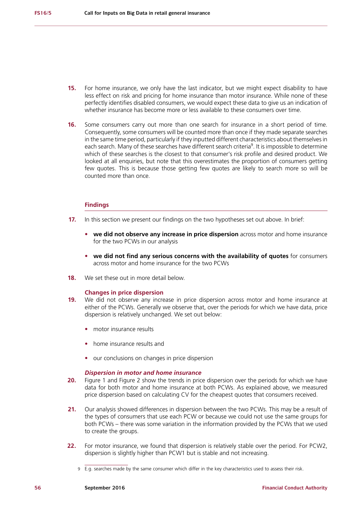- **15.** For home insurance, we only have the last indicator, but we might expect disability to have less effect on risk and pricing for home insurance than motor insurance. While none of these perfectly identifies disabled consumers, we would expect these data to give us an indication of whether insurance has become more or less available to these consumers over time.
- **16.** Some consumers carry out more than one search for insurance in a short period of time. Consequently, some consumers will be counted more than once if they made separate searches in the same time period, particularly if they inputted different characteristics about themselves in each search. Many of these searches have different search criteria<sup>9</sup>. It is impossible to determine which of these searches is the closest to that consumer's risk profile and desired product. We looked at all enquiries, but note that this overestimates the proportion of consumers getting few quotes. This is because those getting few quotes are likely to search more so will be counted more than once.

## **Findings**

- **17.** In this section we present our findings on the two hypotheses set out above. In brief:
	- **• we did not observe any increase in price dispersion** across motor and home insurance for the two PCWs in our analysis
	- **• we did not find any serious concerns with the availability of quotes** for consumers across motor and home insurance for the two PCWs
- **18.** We set these out in more detail below.

#### **Changes in price dispersion**

- **19.** We did not observe any increase in price dispersion across motor and home insurance at either of the PCWs. Generally we observe that, over the periods for which we have data, price dispersion is relatively unchanged. We set out below:
	- **•** motor insurance results
	- **•** home insurance results and
	- **•** our conclusions on changes in price dispersion

#### *Dispersion in motor and home insurance*

- **20.** [Figure 1](#page-58-0) and [Figure 2](#page-58-1) show the trends in price dispersion over the periods for which we have data for both motor and home insurance at both PCWs. As explained above, we measured price dispersion based on calculating CV for the cheapest quotes that consumers received.
- **21.** Our analysis showed differences in dispersion between the two PCWs. This may be a result of the types of consumers that use each PCW or because we could not use the same groups for both PCWs – there was some variation in the information provided by the PCWs that we used to create the groups.
- **22.** For motor insurance, we found that dispersion is relatively stable over the period. For PCW2, dispersion is slightly higher than PCW1 but is stable and not increasing.
	- 9 E.g. searches made by the same consumer which differ in the key characteristics used to assess their risk.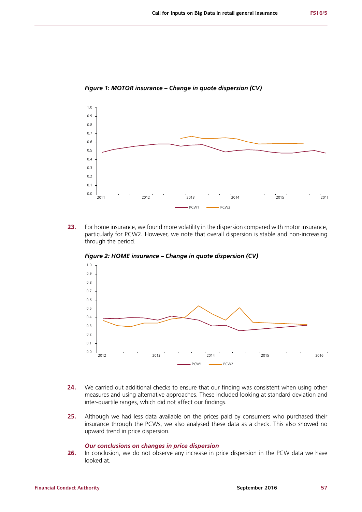

<span id="page-58-0"></span>*Figure 1: MOTOR insurance – Change in quote dispersion (CV)*

**23.** For home insurance, we found more volatility in the dispersion compared with motor insurance, particularly for PCW2. However, we note that overall dispersion is stable and non-increasing through the period.



<span id="page-58-1"></span>*Figure 2: HOME insurance – Change in quote dispersion (CV)*

- **24.** We carried out additional checks to ensure that our finding was consistent when using other measures and using alternative approaches. These included looking at standard deviation and inter-quartile ranges, which did not affect our findings.
- **25.** Although we had less data available on the prices paid by consumers who purchased their insurance through the PCWs, we also analysed these data as a check. This also showed no upward trend in price dispersion.

### *Our conclusions on changes in price dispersion*

**26.** In conclusion, we do not observe any increase in price dispersion in the PCW data we have looked at.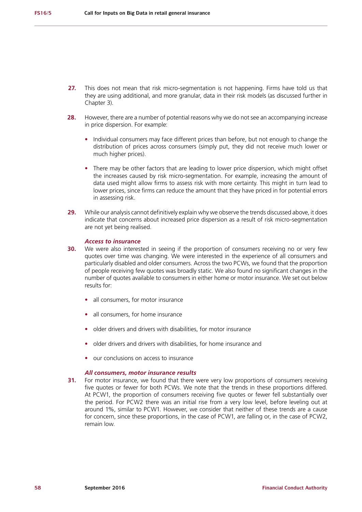- **27.** This does not mean that risk micro-segmentation is not happening. Firms have told us that they are using additional, and more granular, data in their risk models (as discussed further in Chapter 3).
- **28.** However, there are a number of potential reasons why we do not see an accompanying increase in price dispersion. For example:
	- **•** Individual consumers may face different prices than before, but not enough to change the distribution of prices across consumers (simply put, they did not receive much lower or much higher prices).
	- **•** There may be other factors that are leading to lower price dispersion, which might offset the increases caused by risk micro-segmentation. For example, increasing the amount of data used might allow firms to assess risk with more certainty. This might in turn lead to lower prices, since firms can reduce the amount that they have priced in for potential errors in assessing risk.
- **29.** While our analysis cannot definitively explain why we observe the trends discussed above, it does indicate that concerns about increased price dispersion as a result of risk micro-segmentation are not yet being realised.

#### *Access to insurance*

- **30.** We were also interested in seeing if the proportion of consumers receiving no or very few quotes over time was changing. We were interested in the experience of all consumers and particularly disabled and older consumers. Across the two PCWs, we found that the proportion of people receiving few quotes was broadly static. We also found no significant changes in the number of quotes available to consumers in either home or motor insurance. We set out below results for:
	- **•** all consumers, for motor insurance
	- **•** all consumers, for home insurance
	- **•** older drivers and drivers with disabilities, for motor insurance
	- **•** older drivers and drivers with disabilities, for home insurance and
	- **•** our conclusions on access to insurance

#### *All consumers, motor insurance results*

**31.** For motor insurance, we found that there were very low proportions of consumers receiving five quotes or fewer for both PCWs. We note that the trends in these proportions differed. At PCW1, the proportion of consumers receiving five quotes or fewer fell substantially over the period. For PCW2 there was an initial rise from a very low level, before leveling out at around 1%, similar to PCW1. However, we consider that neither of these trends are a cause for concern, since these proportions, in the case of PCW1, are falling or, in the case of PCW2, remain low.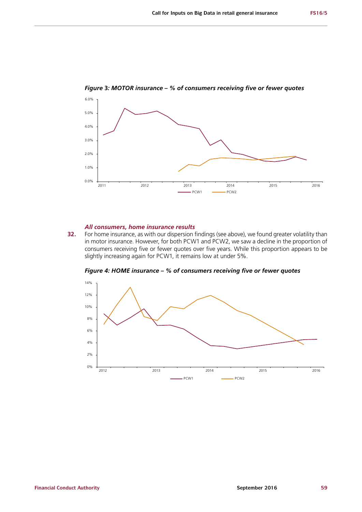

*Figure* **3***: MOTOR insurance – % of consumers receiving five or fewer quotes*

#### *All consumers, home insurance results*

**32.** For home insurance, as with our dispersion findings (see above), we found greater volatility than in motor insurance. However, for both PCW1 and PCW2, we saw a decline in the proportion of consumers receiving five or fewer quotes over five years. While this proportion appears to be slightly increasing again for PCW1, it remains low at under 5%.



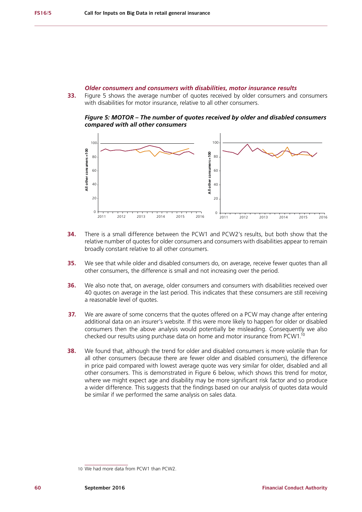#### *Older consumers and consumers with disabilities, motor insurance results*

**33.** [Figure 5](#page-61-0) shows the average number of quotes received by older consumers and consumers with disabilities for motor insurance, relative to all other consumers.

<span id="page-61-0"></span>*Figure 5: MOTOR – The number of quotes received by older and disabled consumers compared with all other consumers* 



- **34.** There is a small difference between the PCW1 and PCW2's results, but both show that the relative number of quotes for older consumers and consumers with disabilities appear to remain broadly constant relative to all other consumers.
- **35.** We see that while older and disabled consumers do, on average, receive fewer quotes than all other consumers, the difference is small and not increasing over the period.
- **36.** We also note that, on average, older consumers and consumers with disabilities received over 40 quotes on average in the last period. This indicates that these consumers are still receiving a reasonable level of quotes.
- **37.** We are aware of some concerns that the quotes offered on a PCW may change after entering additional data on an insurer's website. If this were more likely to happen for older or disabled consumers then the above analysis would potentially be misleading. Consequently we also checked our results using purchase data on home and motor insurance from PCW1.10
- **38.** We found that, although the trend for older and disabled consumers is more volatile than for all other consumers (because there are fewer older and disabled consumers), the difference in price paid compared with lowest average quote was very similar for older, disabled and all other consumers. This is demonstrated in Figure 6 below, which shows this trend for motor, where we might expect age and disability may be more significant risk factor and so produce a wider difference. This suggests that the findings based on our analysis of quotes data would be similar if we performed the same analysis on sales data.

<sup>10</sup> We had more data from PCW1 than PCW2.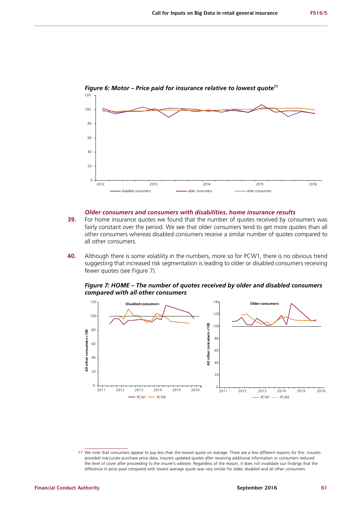

*Figure 6: Motor – Price paid for insurance relative to lowest quote11*

#### *Older consumers and consumers with disabilities, home insurance results*

- **39.** For home insurance quotes we found that the number of quotes received by consumers was fairly constant over the period. We see that older consumers tend to get more quotes than all other consumers whereas disabled consumers receive a similar number of quotes compared to all other consumers.
- **40.** Although there is some volatility in the numbers, more so for PCW1, there is no obvious trend suggesting that increased risk segmentation is leading to older or disabled consumers receiving fewer quotes (see [Figure 7\)](#page-62-0).

<span id="page-62-0"></span>*Figure 7: HOME – The number of quotes received by older and disabled consumers compared with all other consumers*



<sup>11</sup> We note that consumers appear to pay less than the lowest quote on average. There are a few different reasons for this: insurers provided inaccurate purchase price data, insurers updated quotes after receiving additional information or consumers reduced the level of cover after proceeding to the insurer's website. Regardless of the reason, it does not invalidate our findings that the difference in price paid compared with lowest average quote was very similar for older, disabled and all other consumers.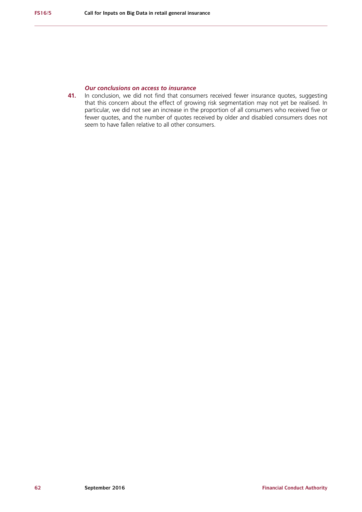## *Our conclusions on access to insurance*

**41.** In conclusion, we did not find that consumers received fewer insurance quotes, suggesting that this concern about the effect of growing risk segmentation may not yet be realised. In particular, we did not see an increase in the proportion of all consumers who received five or fewer quotes, and the number of quotes received by older and disabled consumers does not seem to have fallen relative to all other consumers.